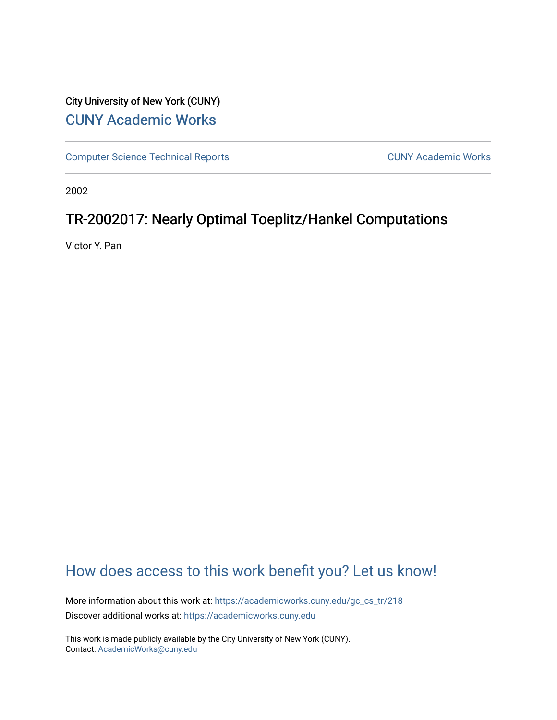# City University of New York (CUNY) [CUNY Academic Works](https://academicworks.cuny.edu/)

[Computer Science Technical Reports](https://academicworks.cuny.edu/gc_cs_tr) **CUNY Academic Works** CUNY Academic Works

2002

# TR-2002017: Nearly Optimal Toeplitz/Hankel Computations

Victor Y. Pan

# [How does access to this work benefit you? Let us know!](http://ols.cuny.edu/academicworks/?ref=https://academicworks.cuny.edu/gc_cs_tr/218)

More information about this work at: [https://academicworks.cuny.edu/gc\\_cs\\_tr/218](https://academicworks.cuny.edu/gc_cs_tr/218)  Discover additional works at: [https://academicworks.cuny.edu](https://academicworks.cuny.edu/?)

This work is made publicly available by the City University of New York (CUNY). Contact: [AcademicWorks@cuny.edu](mailto:AcademicWorks@cuny.edu)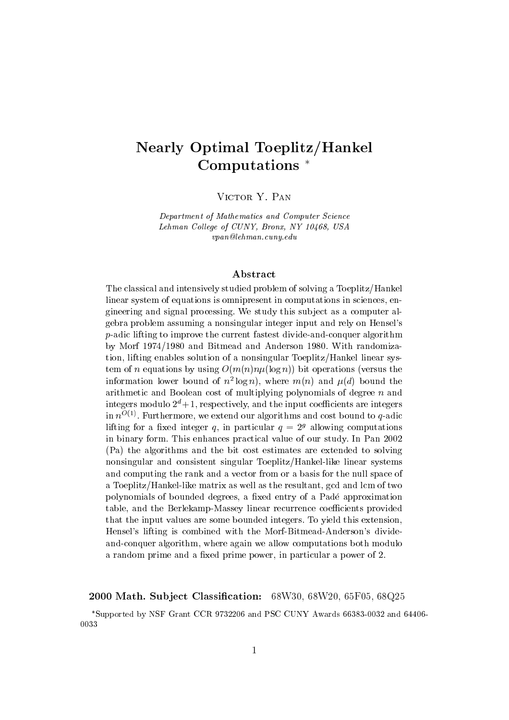# **Nearly Optimal Toeplitz/Hankel** Computations<sup>\*</sup>

VICTOR Y. PAN

Department of Mathematics and Computer Science Lehman College of CUNY, Bronx, NY 10468, USA  $vpan@lehman.cuny.edu$ 

#### Abstract

The classical and intensively studied problem of solving a Toeplitz/Hankel linear system of equations is omnipresent in computations in sciences, engineering and signal processing. We study this subject as a computer algebra problem assuming a nonsingular integer input and rely on Hensel's p-adic lifting to improve the current fastest divide-and-conquer algorithm by Morf 1974/1980 and Bitmead and Anderson 1980. With randomization, lifting enables solution of a nonsingular Toeplitz/Hankel linear system of *n* equations by using  $O(m(n)n\mu(\log n))$  bit operations (versus the information lower bound of  $n^2 \log n$ , where  $m(n)$  and  $\mu(d)$  bound the arithmetic and Boolean cost of multiplying polynomials of degree  $n$  and integers modulo  $2^d + 1$ , respectively, and the input coefficients are integers in  $n^{O(1)}$ . Furthermore, we extend our algorithms and cost bound to q-adic lifting for a fixed integer q, in particular  $q = 2<sup>g</sup>$  allowing computations in binary form. This enhances practical value of our study. In Pan 2002 (Pa) the algorithms and the bit cost estimates are extended to solving nonsingular and consistent singular Toeplitz/Hankel-like linear systems and computing the rank and a vector from or a basis for the null space of a Toeplitz/Hankel-like matrix as well as the resultant, gcd and lcm of two polynomials of bounded degrees, a fixed entry of a Padé approximation table, and the Berlekamp-Massey linear recurrence coefficients provided that the input values are some bounded integers. To yield this extension, Hensel's lifting is combined with the Morf-Bitmead-Anderson's divideand-conquer algorithm, where again we allow computations both modulo a random prime and a fixed prime power, in particular a power of 2.

2000 Math. Subject Classification: 68W30, 68W20, 65F05, 68Q25

\*Supported by NSF Grant CCR 9732206 and PSC CUNY Awards 66383-0032 and 64406-0033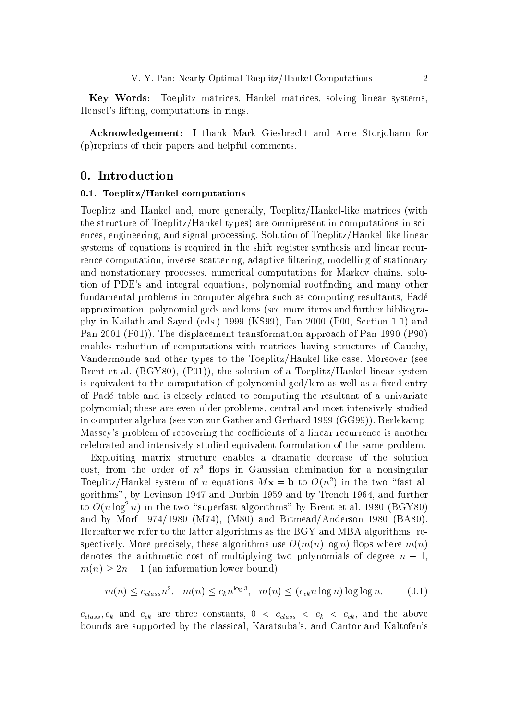Key Words: Toeplitz matrices, Hankel matrices, solving linear systems, Hensel's lifting, computations in rings.

**Acknowledgement:** I thank Mark Giesbrecht and Arne Storjohann for (p) reprints of their papers and helpful comments.

## 0. Introduction

## 0.1. Toeplitz/Hankel computations

Toeplitz and Hankel and, more generally, Toeplitz/Hankel-like matrices (with the structure of Toeplitz/Hankel types) are omnipresent in computations in sciences, engineering, and signal processing. Solution of Toeplitz/Hankel-like linear systems of equations is required in the shift register synthesis and linear recurrence computation, inverse scattering, adaptive filtering, modelling of stationary and nonstationary processes, numerical computations for Markov chains, solution of PDE's and integral equations, polynomial rootfinding and many other fundamental problems in computer algebra such as computing resultants, Padé approximation, polynomial gcds and lcms (see more items and further bibliography in Kailath and Sayed (eds.) 1999 (KS99), Pan 2000 (P00, Section 1.1) and Pan 2001 (P01)). The displacement transformation approach of Pan 1990 (P90) enables reduction of computations with matrices having structures of Cauchy, Vandermonde and other types to the Toeplitz/Hankel-like case. Moreover (see Brent et al.  $(BGY80)$ ,  $(P01)$ , the solution of a Toeplitz/Hankel linear system is equivalent to the computation of polynomial gcd/lcm as well as a fixed entry of Padé table and is closely related to computing the resultant of a univariate polynomial; these are even older problems, central and most intensively studied in computer algebra (see von zur Gather and Gerhard 1999 (GG99)). Berlekamp-Massey's problem of recovering the coefficients of a linear recurrence is another celebrated and intensively studied equivalent formulation of the same problem.

Exploiting matrix structure enables a dramatic decrease of the solution cost, from the order of  $n<sup>3</sup>$  flops in Gaussian elimination for a nonsingular Toeplitz/Hankel system of *n* equations  $Mx = b$  to  $O(n^2)$  in the two "fast algorithms", by Levinson 1947 and Durbin 1959 and by Trench 1964, and further to  $O(n \log^2 n)$  in the two "superfast algorithms" by Brent et al. 1980 (BGY80) and by Morf 1974/1980 (M74), (M80) and Bitmead/Anderson 1980 (BA80). Hereafter we refer to the latter algorithms as the BGY and MBA algorithms, respectively. More precisely, these algorithms use  $O(m(n) \log n)$  flops where  $m(n)$ denotes the arithmetic cost of multiplying two polynomials of degree  $n-1$ .  $m(n) \geq 2n - 1$  (an information lower bound),

$$
m(n) \le c_{class} n^2, \quad m(n) \le c_k n^{\log 3}, \quad m(n) \le (c_{ck} n \log n) \log \log n, \tag{0.1}
$$

 $c_{class}, c_k$  and  $c_{ck}$  are three constants,  $0 \leq c_{class} \leq c_k \leq c_{ck}$ , and the above bounds are supported by the classical, Karatsuba's, and Cantor and Kaltofen's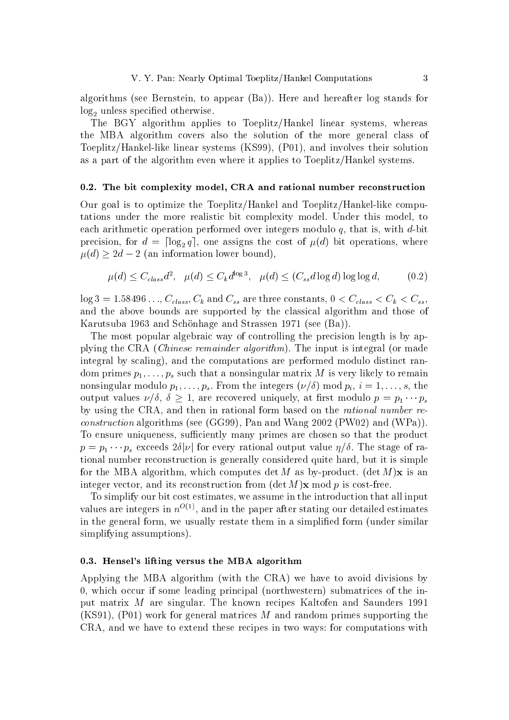algorithms (see Bernstein, to appear (Ba)). Here and hereafter log stands for  $log<sub>2</sub>$  unless specified otherwise.

The BGY algorithm applies to Toeplitz/Hankel linear systems, whereas the MBA algorithm covers also the solution of the more general class of Toeplitz/Hankel-like linear systems (KS99), (P01), and involves their solution as a part of the algorithm even where it applies to Toeplitz/Hankel systems.

#### 0.2. The bit complexity model, CRA and rational number reconstruction

Our goal is to optimize the Toeplitz/Hankel and Toeplitz/Hankel-like computations under the more realistic bit complexity model. Under this model, to each arithmetic operation performed over integers modulo q, that is, with  $d$ -bit precision, for  $d = \lceil \log_2 q \rceil$ , one assigns the cost of  $\mu(d)$  bit operations, where  $\mu(d) \geq 2d - 2$  (an information lower bound),

$$
\mu(d) \le C_{class}d^2, \quad \mu(d) \le C_k d^{\log 3}, \quad \mu(d) \le (C_{ss}d \log d) \log \log d,\tag{0.2}
$$

 $\log 3 = 1.58496...,$   $C_{class}, C_k$  and  $C_{ss}$  are three constants,  $0 < C_{class} < C_k < C_{ss}$ , and the above bounds are supported by the classical algorithm and those of Karutsuba 1963 and Schönhage and Strassen 1971 (see (Ba)).

The most popular algebraic way of controlling the precision length is by applying the CRA (*Chinese remainder algorithm*). The input is integral (or made integral by scaling), and the computations are performed modulo distinct random primes  $p_1, \ldots, p_s$  such that a nonsingular matrix M is very likely to remain nonsingular modulo  $p_1, \ldots, p_s$ . From the integers  $(\nu/\delta)$  mod  $p_i$ ,  $i = 1, \ldots, s$ , the output values  $\nu/\delta$ ,  $\delta \geq 1$ , are recovered uniquely, at first modulo  $p = p_1 \cdots p_s$ by using the CRA, and then in rational form based on the *rational number reconstruction* algorithms (see (GG99), Pan and Wang 2002 (PW02) and (WPa)). To ensure uniqueness, sufficiently many primes are chosen so that the product  $p = p_1 \cdots p_s$  exceeds  $2\delta |\nu|$  for every rational output value  $\eta/\delta$ . The stage of rational number reconstruction is generally considered quite hard, but it is simple for the MBA algorithm, which computes det M as by-product. (det M) $\bf{x}$  is an integer vector, and its reconstruction from  $(\det M)\mathbf{x} \mod p$  is cost-free.

To simplify our bit cost estimates, we assume in the introduction that all input values are integers in  $n^{O(1)}$ , and in the paper after stating our detailed estimates in the general form, we usually restate them in a simplified form (under similar simplifying assumptions).

#### 0.3. Hensel's lifting versus the MBA algorithm

Applying the MBA algorithm (with the CRA) we have to avoid divisions by 0, which occur if some leading principal (northwestern) submatrices of the input matrix M are singular. The known recipes Kaltofen and Saunders 1991  $(KS91)$ , (P01) work for general matrices M and random primes supporting the CRA, and we have to extend these recipes in two ways: for computations with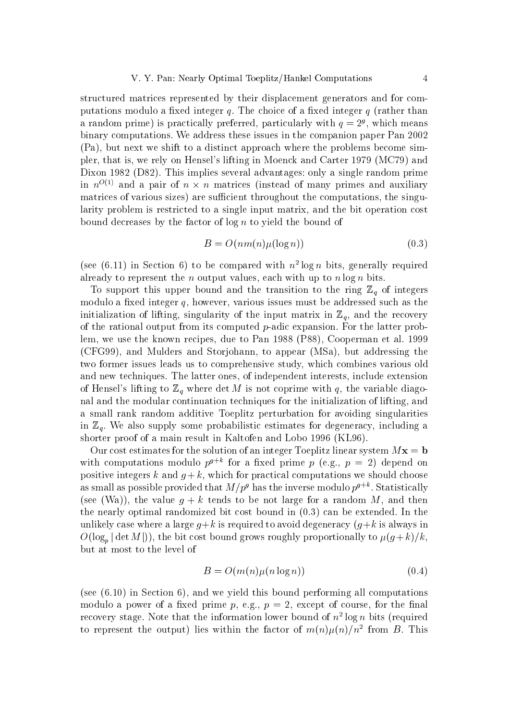structured matrices represented by their displacement generators and for computations modulo a fixed integer q. The choice of a fixed integer  $q$  (rather than a random prime) is practically preferred, particularly with  $q = 2<sup>g</sup>$ , which means binary computations. We address these issues in the companion paper Pan 2002 (Pa), but next we shift to a distinct approach where the problems become simpler, that is, we rely on Hensel's lifting in Moenck and Carter 1979 (MC79) and Dixon 1982 (D82). This implies several advantages: only a single random prime in  $n^{O(1)}$  and a pair of  $n \times n$  matrices (instead of many primes and auxiliary matrices of various sizes) are sufficient throughout the computations, the singularity problem is restricted to a single input matrix, and the bit operation cost bound decreases by the factor of  $\log n$  to yield the bound of

$$
B = O(nm(n)\mu(\log n))\tag{0.3}
$$

(see (6.11) in Section 6) to be compared with  $n^2 \log n$  bits, generally required already to represent the *n* output values, each with up to  $n \log n$  bits.

To support this upper bound and the transition to the ring  $\mathbb{Z}_q$  of integers modulo a fixed integer  $q$ , however, various issues must be addressed such as the initialization of lifting, singularity of the input matrix in  $\mathbb{Z}_q$ , and the recovery of the rational output from its computed  $p$ -adic expansion. For the latter problem, we use the known recipes, due to Pan 1988 (P88), Cooperman et al. 1999 (CFG99), and Mulders and Storjohann, to appear (MSa), but addressing the two former issues leads us to comprehensive study, which combines various old and new techniques. The latter ones, of independent interests, include extension of Hensel's lifting to  $\mathbb{Z}_q$  where det M is not coprime with q, the variable diagonal and the modular continuation techniques for the initialization of lifting, and a small rank random additive Toeplitz perturbation for avoiding singularities in  $\mathbb{Z}_q$ . We also supply some probabilistic estimates for degeneracy, including a shorter proof of a main result in Kaltofen and Lobo 1996 (KL96).

Our cost estimates for the solution of an integer Toeplitz linear system  $Mx = b$ with computations modulo  $p^{g+k}$  for a fixed prime p (e.g.,  $p = 2$ ) depend on positive integers k and  $q+k$ , which for practical computations we should choose as small as possible provided that  $M/p^g$  has the inverse modulo  $p^{g+k}$ . Statistically (see (Wa)), the value  $q + k$  tends to be not large for a random M, and then the nearly optimal randomized bit cost bound in  $(0.3)$  can be extended. In the unlikely case where a large  $q+k$  is required to avoid degeneracy  $(q+k)$  is always in  $O(\log_n |\det M|)$ , the bit cost bound grows roughly proportionally to  $\mu(g+k)/k$ , but at most to the level of

$$
B = O(m(n)\mu(n\log n))\tag{0.4}
$$

(see  $(6.10)$ ) in Section 6), and we yield this bound performing all computations modulo a power of a fixed prime p, e.g.,  $p = 2$ , except of course, for the final recovery stage. Note that the information lower bound of  $n^2 \log n$  bits (required to represent the output) lies within the factor of  $m(n)\mu(n)/n^2$  from B. This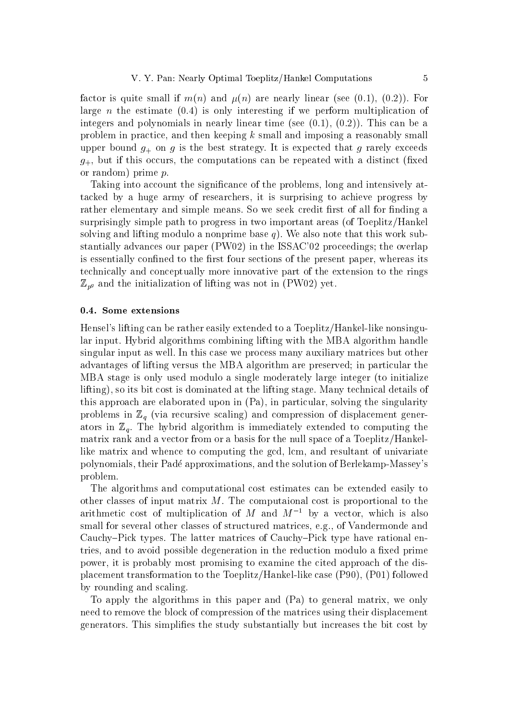factor is quite small if  $m(n)$  and  $\mu(n)$  are nearly linear (see (0.1), (0.2)). For large *n* the estimate  $(0.4)$  is only interesting if we perform multiplication of integers and polynomials in nearly linear time (see  $(0.1)$ ,  $(0.2)$ ). This can be a problem in practice, and then keeping  $k$  small and imposing a reasonably small upper bound  $g_{+}$  on g is the best strategy. It is expected that g rarely exceeds  $g_{+}$ , but if this occurs, the computations can be repeated with a distinct (fixed or random) prime  $p$ .

Taking into account the significance of the problems, long and intensively attacked by a huge army of researchers, it is surprising to achieve progress by rather elementary and simple means. So we seek credit first of all for finding a surprisingly simple path to progress in two important areas (of Toeplitz/Hankel solving and lifting modulo a nonprime base  $q$ ). We also note that this work substantially advances our paper (PW02) in the ISSAC'02 proceedings; the overlap is essentially confined to the first four sections of the present paper, whereas its technically and conceptually more innovative part of the extension to the rings  $\mathbb{Z}_{p^g}$  and the initialization of lifting was not in (PW02) yet.

#### 0.4. Some extensions

Hensel's lifting can be rather easily extended to a Toeplitz/Hankel-like nonsingular input. Hybrid algorithms combining lifting with the MBA algorithm handle singular input as well. In this case we process many auxiliary matrices but other advantages of lifting versus the MBA algorithm are preserved; in particular the MBA stage is only used modulo a single moderately large integer (to initialize lifting), so its bit cost is dominated at the lifting stage. Many technical details of this approach are elaborated upon in (Pa), in particular, solving the singularity problems in  $\mathbb{Z}_q$  (via recursive scaling) and compression of displacement generators in  $\mathbb{Z}_q$ . The hybrid algorithm is immediately extended to computing the matrix rank and a vector from or a basis for the null space of a Toeplitz/Hankellike matrix and whence to computing the gcd, lcm, and resultant of univariate polynomials, their Padé approximations, and the solution of Berlekamp-Massey's problem.

The algorithms and computational cost estimates can be extended easily to other classes of input matrix  $M$ . The computational cost is proportional to the arithmetic cost of multiplication of M and  $M^{-1}$  by a vector, which is also small for several other classes of structured matrices, e.g., of Vandermonde and Cauchy-Pick types. The latter matrices of Cauchy-Pick type have rational entries, and to avoid possible degeneration in the reduction modulo a fixed prime power, it is probably most promising to examine the cited approach of the displacement transformation to the Toeplitz/Hankel-like case (P90), (P01) followed by rounding and scaling.

To apply the algorithms in this paper and (Pa) to general matrix, we only need to remove the block of compression of the matrices using their displacement generators. This simplifies the study substantially but increases the bit cost by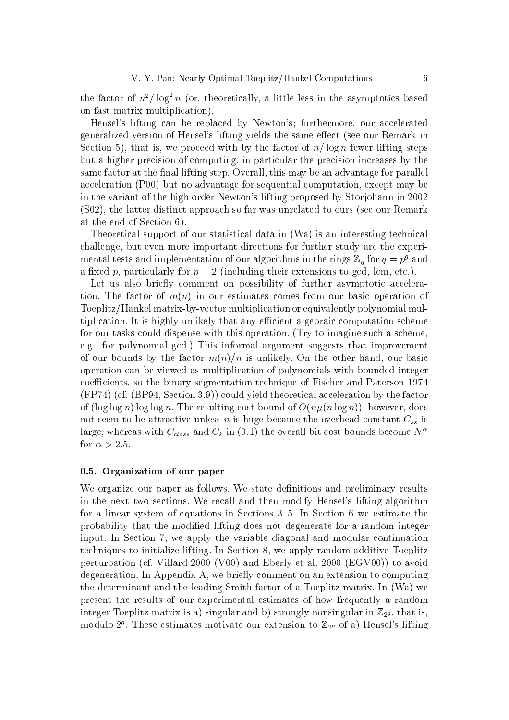the factor of  $n^2/\log^2 n$  (or, theoretically, a little less in the asymptotics based on fast matrix multiplication).

Hensel's lifting can be replaced by Newton's; furthermore, our accelerated generalized version of Hensel's lifting yields the same effect (see our Remark in Section 5), that is, we proceed with by the factor of  $n/\log n$  fewer lifting steps but a higher precision of computing, in particular the precision increases by the same factor at the final lifting step. Overall, this may be an advantage for parallel acceleration  $(100)$  but no advantage for sequential computation, except may be in the variant of the high order Newton's lifting proposed by Storjohann in 2002 (S02), the latter distinct approach so far was unrelated to ours (see our Remark at the end of Section 6).

Theoretical support of our statistical data in (Wa) is an interesting technical challenge, but even more important directions for further study are the experimental tests and implementation of our algorithms in the rings  $\mathbb{Z}_q$  for  $q = p^g$  and a fixed p, particularly for  $p = 2$  (including their extensions to gcd, lcm, etc.).

Let us also briefly comment on possibility of further asymptotic acceleration. The factor of  $m(n)$  in our estimates comes from our basic operation of Toeplitz/Hankel matrix-by-vector multiplication or equivalently polynomial multiplication. It is highly unlikely that any efficient algebraic computation scheme for our tasks could dispense with this operation. (Try to imagine such a scheme. e.g., for polynomial gcd.) This informal argument suggests that improvement of our bounds by the factor  $m(n)/n$  is unlikely. On the other hand, our basic operation can be viewed as multiplication of polynomials with bounded integer coefficients, so the binary segmentation technique of Fischer and Paterson 1974  $(FP74)$  (cf. (BP94, Section 3.9)) could yield theoretical acceleration by the factor of  $(\log \log n) \log \log n$ . The resulting cost bound of  $O(n\mu(n \log n))$ , however, does not seem to be attractive unless n is huge because the overhead constant  $C_{ss}$  is large, whereas with  $C_{class}$  and  $C_k$  in (0.1) the overall bit cost bounds become  $N^{\alpha}$ for  $\alpha > 2.5$ .

## 0.5. Organization of our paper

We organize our paper as follows. We state definitions and preliminary results in the next two sections. We recall and then modify Hensel's lifting algorithm for a linear system of equations in Sections 3–5. In Section 6 we estimate the probability that the modified lifting does not degenerate for a random integer input. In Section 7, we apply the variable diagonal and modular continuation techniques to initialize lifting. In Section 8, we apply random additive Toeplitz perturbation (cf. Villard 2000 (V00) and Eberly et al. 2000 (EGV00)) to avoid degeneration. In Appendix A, we briefly comment on an extension to computing the determinant and the leading Smith factor of a Toeplitz matrix. In (Wa) we present the results of our experimental estimates of how frequently a random integer Toeplitz matrix is a) singular and b) strongly nonsingular in  $\mathbb{Z}_{29}$ , that is, modulo  $2<sup>g</sup>$ . These estimates motivate our extension to  $\mathbb{Z}_{2<sup>g</sup>}$  of a) Hensel's lifting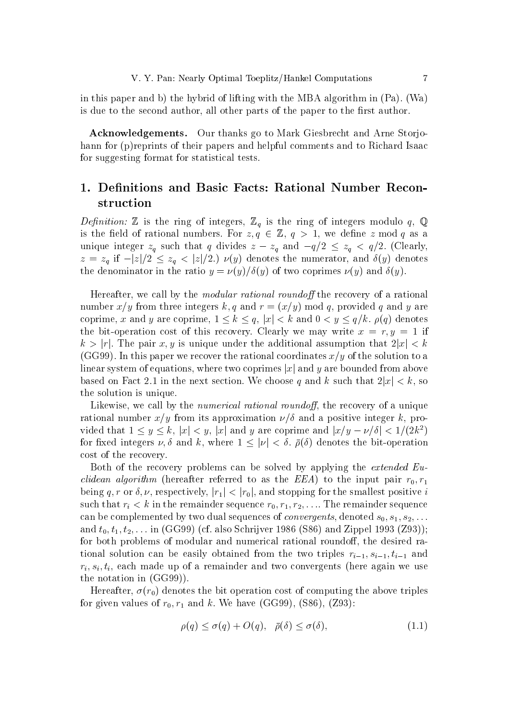in this paper and b) the hybrid of lifting with the MBA algorithm in (Pa). (Wa) is due to the second author, all other parts of the paper to the first author.

**Acknowledgements.** Our thanks go to Mark Giesbrecht and Arne Storjohann for (p) reprints of their papers and helpful comments and to Richard Isaac for suggesting format for statistical tests.

## 1. Definitions and Basic Facts: Rational Number Reconstruction

*Definition:*  $\mathbb Z$  is the ring of integers,  $\mathbb Z_q$  is the ring of integers modulo q,  $\mathbb Q$ is the field of rational numbers. For  $z, q \in \mathbb{Z}$ ,  $q > 1$ , we define z mod q as a unique integer  $z_q$  such that q divides  $z - z_q$  and  $-q/2 \le z_q < q/2$ . (Clearly,  $z = z_q$  if  $-|z|/2 \leq z_q < |z|/2$ .)  $\nu(y)$  denotes the numerator, and  $\delta(y)$  denotes the denominator in the ratio  $y = \nu(y)/\delta(y)$  of two coprimes  $\nu(y)$  and  $\delta(y)$ .

Hereafter, we call by the *modular rational roundoff* the recovery of a rational number  $x/y$  from three integers k, q and  $r = (x/y) \mod q$ , provided q and y are coprime, x and y are coprime,  $1 \leq k \leq q$ ,  $|x| < k$  and  $0 < y \leq q/k$ .  $\rho(q)$  denotes the bit-operation cost of this recovery. Clearly we may write  $x = r, y = 1$  if  $k > |r|$ . The pair x, y is unique under the additional assumption that  $2|x| < k$ (GG99). In this paper we recover the rational coordinates  $x/y$  of the solution to a linear system of equations, where two coprimes  $|x|$  and y are bounded from above based on Fact 2.1 in the next section. We choose q and k such that  $2|x| < k$ , so the solution is unique.

Likewise, we call by the *numerical rational roundoff*, the recovery of a unique rational number  $x/y$  from its approximation  $\nu/\delta$  and a positive integer k, provided that  $1 \leq y \leq k$ ,  $|x| < y$ ,  $|x|$  and y are coprime and  $|x/y - \nu/\delta| < 1/(2k^2)$ for fixed integers  $\nu, \delta$  and k, where  $1 \leq |\nu| < \delta$ .  $\bar{\rho}(\delta)$  denotes the bit-operation cost of the recovery.

Both of the recovery problems can be solved by applying the *extended Euclidean algorithm* (hereafter referred to as the EEA) to the input pair  $r_0, r_1$ being q, r or  $\delta$ , v, respectively,  $|r_1| < |r_0|$ , and stopping for the smallest positive i such that  $r_i < k$  in the remainder sequence  $r_0, r_1, r_2, \ldots$  The remainder sequence can be complemented by two dual sequences of *convergents*, denoted  $s_0, s_1, s_2, \ldots$ and  $t_0, t_1, t_2, \ldots$  in (GG99) (cf. also Schrijver 1986 (S86) and Zippel 1993 (Z93)); for both problems of modular and numerical rational roundoff, the desired rational solution can be easily obtained from the two triples  $r_{i-1}, s_{i-1}, t_{i-1}$  and  $r_i, s_i, t_i$ , each made up of a remainder and two convergents (here again we use the notation in  $(GG99)$ ).

Hereafter,  $\sigma(r_0)$  denotes the bit operation cost of computing the above triples for given values of  $r_0, r_1$  and k. We have (GG99), (S86), (Z93):

$$
\rho(q) \le \sigma(q) + O(q), \quad \bar{\rho}(\delta) \le \sigma(\delta), \tag{1.1}
$$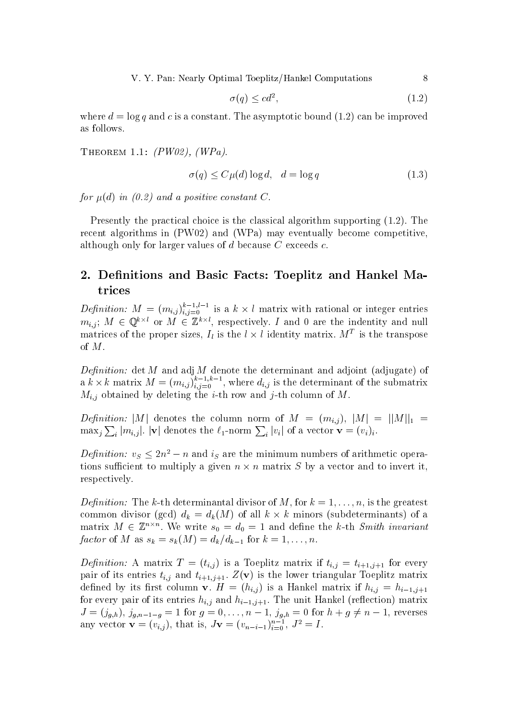$$
\sigma(q) \le cd^2,\tag{1.2}
$$

where  $d = \log q$  and c is a constant. The asymptotic bound (1.2) can be improved as follows.

THEOREM 1.1:  $(PW02)$ ,  $(WPa)$ .

$$
\sigma(q) \le C\mu(d)\log d, \quad d = \log q \tag{1.3}
$$

for  $\mu(d)$  in (0.2) and a positive constant C.

Presently the practical choice is the classical algorithm supporting  $(1.2)$ . The recent algorithms in (PW02) and (WPa) may eventually become competitive, although only for larger values of  $d$  because  $C$  exceeds  $c$ .

## 2. Definitions and Basic Facts: Toeplitz and Hankel Matrices

*Definition:*  $M = (m_{i,j})_{i,j=0}^{k-1,l-1}$  is a  $k \times l$  matrix with rational or integer entries  $m_{i,j}$ ;  $M \in \mathbb{Q}^{k \times l}$  or  $M \in \mathbb{Z}^{k \times l}$ , respectively. *I* and 0 are the indentity and null matrices of the proper sizes,  $I_i$  is the  $l \times l$  identity matrix.  $M^T$  is the transpose of  $M$ .

*Definition:* det *M* and adj *M* denote the determinant and adjoint (adjugate) of a  $k \times k$  matrix  $M = (m_{i,j})_{i,j=0}^{k-1,k-1}$ , where  $d_{i,j}$  is the determinant of the submatrix  $M_{i,j}$  obtained by deleting the *i*-th row and *j*-th column of M.

*Definition:* |M| denotes the column norm of  $M = (m_{i,j})$ ,  $|M| = ||M||_1 =$  $\max_j \sum_i |m_{i,j}|$ .  $|\mathbf{v}|$  denotes the  $\ell_1$ -norm  $\sum_i |v_i|$  of a vector  $\mathbf{v} = (v_i)_i$ .

*Definition:*  $v_s \leq 2n^2 - n$  and is are the minimum numbers of arithmetic operations sufficient to multiply a given  $n \times n$  matrix S by a vector and to invert it. respectively.

*Definition:* The k-th determinantal divisor of M, for  $k = 1, ..., n$ , is the greatest common divisor (gcd)  $d_k = d_k(M)$  of all  $k \times k$  minors (subdeterminants) of a matrix  $M \in \mathbb{Z}^{n \times n}$ . We write  $s_0 = d_0 = 1$  and define the k-th Smith invariant factor of M as  $s_k = s_k(M) = d_k/d_{k-1}$  for  $k = 1, ..., n$ .

*Definition:* A matrix  $T = (t_{i,j})$  is a Toeplitz matrix if  $t_{i,j} = t_{i+1,j+1}$  for every pair of its entries  $t_{i,j}$  and  $t_{i+1,j+1}$ .  $Z(\mathbf{v})$  is the lower triangular Toeplitz matrix defined by its first column **v**.  $H = (h_{i,j})$  is a Hankel matrix if  $h_{i,j} = h_{i-1,j+1}$ for every pair of its entries  $h_{i,j}$  and  $h_{i-1,j+1}$ . The unit Hankel (reflection) matrix  $J = (j_{g,h}), j_{g,n-1-g} = 1$  for  $g = 0, \ldots, n-1, j_{g,h} = 0$  for  $h + g \neq n-1$ , reverses any vector  $\mathbf{v} = (v_{i,j})$ , that is,  $J\mathbf{v} = (v_{n-i-1})_{i=0}^{n-1}$ ,  $J^2 = I$ .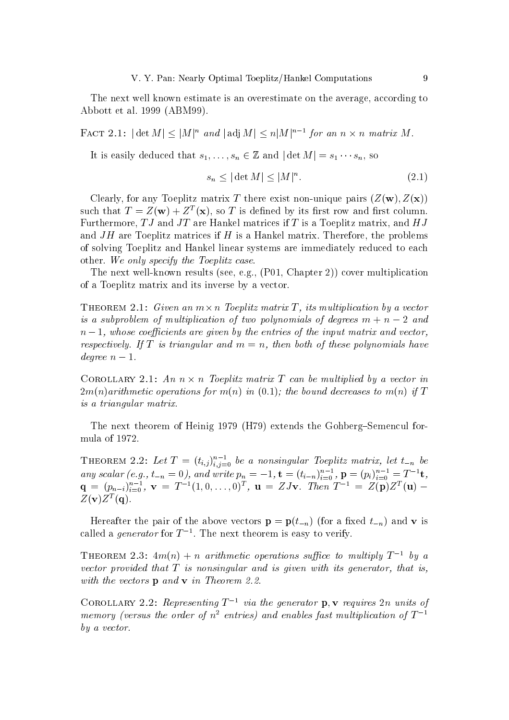The next well known estimate is an overestimate on the average, according to Abbott et al. 1999 (ABM99).

FACT 2.1:  $|\det M| \leq |M|^n$  and  $|\det M| \leq n |M|^{n-1}$  for an  $n \times n$  matrix M.

It is easily deduced that  $s_1, \ldots, s_n \in \mathbb{Z}$  and  $|\det M| = s_1 \cdots s_n$ , so

$$
s_n \le |\det M| \le |M|^n. \tag{2.1}
$$

Clearly, for any Toeplitz matrix T there exist non-unique pairs  $(Z(\mathbf{w}), Z(\mathbf{x}))$ such that  $T = Z(\mathbf{w}) + Z^{T}(\mathbf{x})$ , so T is defined by its first row and first column. Furthermore,  $TJ$  and  $JT$  are Hankel matrices if T is a Toeplitz matrix, and  $HJ$ and  $JH$  are Toeplitz matrices if H is a Hankel matrix. Therefore, the problems of solving Toeplitz and Hankel linear systems are immediately reduced to each other. We only specify the Toeplitz case.

The next well-known results (see, e.g.,  $(P01, Chapter 2)$ ) cover multiplication of a Toeplitz matrix and its inverse by a vector.

THEOREM 2.1: Given an  $m \times n$  Toeplitz matrix T, its multiplication by a vector is a subproblem of multiplication of two polynomials of degrees  $m + n - 2$  and  $n-1$ , whose coefficients are given by the entries of the input matrix and vector, respectively. If T is triangular and  $m = n$ , then both of these polynomials have degree  $n-1$ .

COROLLARY 2.1: An  $n \times n$  Toeplitz matrix T can be multiplied by a vector in  $2m(n)$  arithmetic operations for  $m(n)$  in  $(0.1)$ ; the bound decreases to  $m(n)$  if T is a triangular matrix.

The next theorem of Heinig 1979 (H79) extends the Gohberg-Semencul formula of 1972.

THEOREM 2.2: Let  $T = (t_{i,j})_{i,j=0}^{n-1}$  be a nonsingular Toeplitz matrix, let  $t_{-n}$  be any scalar (e.g.,  $t_{-n} = 0$ ), and write  $p_n = -1$ ,  $\mathbf{t} = (t_{i-n})_{i=0}^{n-1}$ ,  $\mathbf{p} = (p_i)_{i=0}^{n-1} = T^{-1}\mathbf{t}$ ,<br>  $\mathbf{q} = (p_{n-i})_{i=0}^{n-1}$ ,  $\mathbf{v} = T^{-1}(1, 0, \ldots, 0)^T$ ,  $\mathbf{u} = ZJ\mathbf{v}$ . Then  $T^{-1} = Z(\mathbf{p})Z^T(\mathbf{u})$  $Z(\mathbf{v})Z^T(\mathbf{q}).$ 

Hereafter the pair of the above vectors  $\mathbf{p} = \mathbf{p}(t_{-n})$  (for a fixed  $t_{-n}$ ) and v is called a *generator* for  $T^{-1}$ . The next theorem is easy to verify.

THEOREM 2.3:  $4m(n) + n$  arithmetic operations suffice to multiply  $T^{-1}$  by a vector provided that  $T$  is nonsingular and is given with its generator, that is, with the vectors **p** and **v** in Theorem 2.2.

COROLLARY 2.2: Representing  $T^{-1}$  via the generator p, v requires 2n units of memory (versus the order of  $n^2$  entries) and enables fast multiplication of  $T^{-1}$  $by a vector.$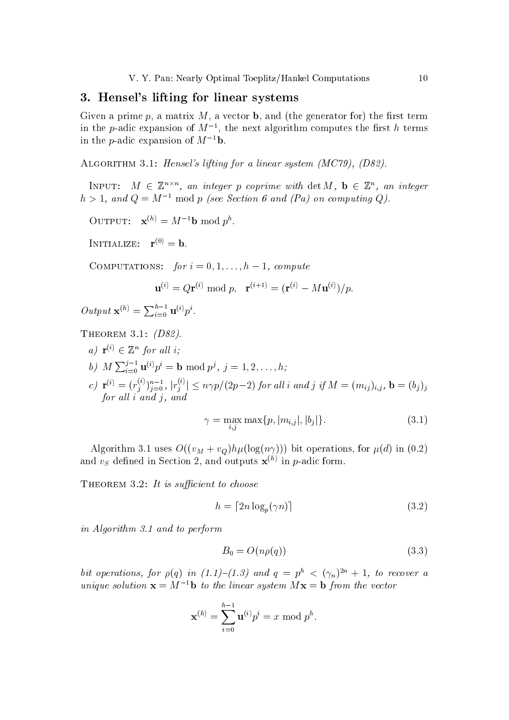## 3. Hensel's lifting for linear systems

Given a prime p, a matrix  $M$ , a vector **b**, and (the generator for) the first term in the *p*-adic expansion of  $M^{-1}$ , the next algorithm computes the first h terms in the *p*-adic expansion of  $M^{-1}$ **b**.

ALGORITHM 3.1: Hensel's lifting for a linear system (MC79), (D82).

INPUT:  $M \in \mathbb{Z}^{n \times n}$ , an integer p coprime with det M,  $\mathbf{b} \in \mathbb{Z}^{n}$ , an integer  $h > 1$ , and  $Q = M^{-1}$  mod p (see Section 6 and (Pa) on computing Q).

OUTPUT:  $\mathbf{x}^{(h)} = M^{-1} \mathbf{b} \bmod p^h$ .

INITIALIZE:  $\mathbf{r}^{(0)} = \mathbf{b}$ .

COMPUTATIONS: for  $i = 0, 1, ..., h-1$ , compute

$$
\mathbf{u}^{(i)} = Q\mathbf{r}^{(i)} \bmod p, \quad \mathbf{r}^{(i+1)} = (\mathbf{r}^{(i)} - M\mathbf{u}^{(i)})/p
$$

Output  $\mathbf{x}^{(h)} = \sum_{i=0}^{h-1} \mathbf{u}^{(i)} p^i$ .

THEOREM 3.1:  $(D82)$ .

a)  $\mathbf{r}^{(i)} \in \mathbb{Z}^n$  for all i; b)  $M \sum_{i=0}^{j-1} \mathbf{u}^{(i)} p^i = \mathbf{b} \bmod p^j, j = 1, 2, ..., h;$ c)  $\mathbf{r}^{(i)} = (r_j^{(i)})_{j=0}^{n-1}$ ,  $|r_j^{(i)}| \le n\gamma p/(2p-2)$  for all i and j if  $M = (m_{ij})_{i,j}$ ,  $\mathbf{b} = (b_j)_j$  for all i and j, and

$$
\gamma = \max_{i,j} \max\{p, |m_{i,j}|, |b_j|\}. \tag{3.1}
$$

Algorithm 3.1 uses  $O((v_M + v_Q)h\mu(\log(n\gamma)))$  bit operations, for  $\mu(d)$  in (0.2) and  $v_S$  defined in Section 2, and outputs  $\mathbf{x}^{(h)}$  in p-adic form.

THEOREM 3.2: It is sufficient to choose

$$
h = \lceil 2n \log_p(\gamma n) \rceil \tag{3.2}
$$

in Algorithm 3.1 and to perform

$$
B_0 = O(n\rho(q))\tag{3.3}
$$

bit operations, for  $\rho(q)$  in  $(1.1)$ - $(1.3)$  and  $q = p^h < (\gamma_n)^{2n} + 1$ , to recover a unique solution  $\mathbf{x} = M^{-1} \mathbf{b}$  to the linear system  $M\mathbf{x} = \mathbf{b}$  from the vector

$$
\mathbf{x}^{(h)} = \sum_{i=0}^{h-1} \mathbf{u}^{(i)} p^i = x \bmod p^h.
$$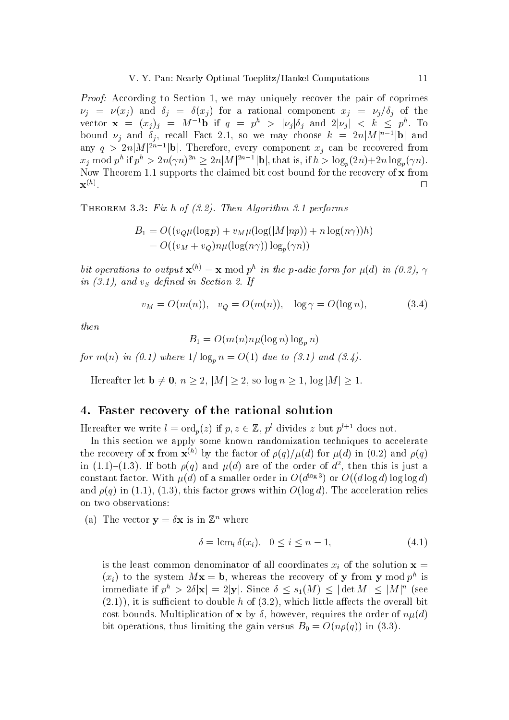*Proof:* According to Section 1, we may uniquely recover the pair of coprimes  $\nu_i = \nu(x_i)$  and  $\delta_i = \delta(x_i)$  for a rational component  $x_i = \nu_i/\delta_i$  of the vector  $\mathbf{x} = (x_j)_j = M^{-1} \mathbf{b}$  if  $q = p^h > |\nu_j| \delta_j$  and  $2|\nu_j| < k \leq p^h$ . To bound  $\nu_j$  and  $\delta_j$ , recall Fact 2.1, so we may choose  $k = 2n|M|^{n-1}|\mathbf{b}|$  and any  $q > 2n|M|^{2n-1}|\mathbf{b}|$ . Therefore, every component  $x_j$  can be recovered from  $x_j \text{ mod } p^h$  if  $p^h > 2n(\gamma n)^{2n} \geq 2n|M|^{2n-1}|\mathbf{b}|$ , that is, if  $h > \log_p(2n) + 2n \log_p(\gamma n)$ . Now Theorem 1.1 supports the claimed bit cost bound for the recovery of x from  $\mathbf{x}^{(h)}$ .  $\Box$ 

THEOREM 3.3: Fix h of  $(3.2)$ . Then Algorithm 3.1 performs

$$
B_1 = O((v_Q \mu (\log p) + v_M \mu (\log(|M|np)) + n \log(n\gamma))h)
$$
  
= 
$$
O((v_M + v_Q)n\mu(\log(n\gamma))\log_p(\gamma n))
$$

bit operations to output  $\mathbf{x}^{(h)} = \mathbf{x} \bmod p^h$  in the p-adic form for  $\mu(d)$  in (0.2),  $\gamma$ in  $(3.1)$ , and  $v<sub>S</sub>$  defined in Section 2. If

$$
v_M = O(m(n)), \quad v_Q = O(m(n)), \quad \log \gamma = O(\log n), \tag{3.4}
$$

then

$$
B_1 = O(m(n)n\mu(\log n)\log_n n)
$$

for  $m(n)$  in (0.1) where  $1/\log_p n = O(1)$  due to (3.1) and (3.4).

Hereafter let  $\mathbf{b} \neq \mathbf{0}$ ,  $n \geq 2$ ,  $|M| \geq 2$ , so  $\log n \geq 1$ ,  $\log |M| \geq 1$ .

## 4. Faster recovery of the rational solution

Hereafter we write  $l = \text{ord}_p(z)$  if  $p, z \in \mathbb{Z}$ ,  $p^l$  divides z but  $p^{l+1}$  does not.

In this section we apply some known randomization techniques to accelerate the recovery of **x** from  $\mathbf{x}^{(h)}$  by the factor of  $\rho(q)/\mu(d)$  for  $\mu(d)$  in (0.2) and  $\rho(q)$ in (1.1)–(1.3). If both  $\rho(q)$  and  $\mu(d)$  are of the order of  $d^2$ , then this is just a constant factor. With  $\mu(d)$  of a smaller order in  $O(d^{\log 3})$  or  $O((d \log d) \log \log d)$ and  $\rho(q)$  in (1.1), (1.3), this factor grows within  $O(\log d)$ . The acceleration relies on two observations:

(a) The vector  $y = \delta x$  is in  $\mathbb{Z}^n$  where

$$
\delta = \operatorname{lcm}_i \delta(x_i), \quad 0 \le i \le n - 1,\tag{4.1}
$$

is the least common denominator of all coordinates  $x_i$  of the solution  $\mathbf{x} =$  $(x_i)$  to the system  $Mx = b$ , whereas the recovery of y from y mod  $p^h$  is immediate if  $p^h > 2\delta |\mathbf{x}| = 2|\mathbf{y}|$ . Since  $\delta \leq s_1(M) \leq |\det M| \leq |M|^n$  (see  $(2.1)$ , it is sufficient to double h of  $(3.2)$ , which little affects the overall bit cost bounds. Multiplication of x by  $\delta$ , however, requires the order of  $n\mu(d)$ bit operations, thus limiting the gain versus  $B_0 = O(n\rho(q))$  in (3.3).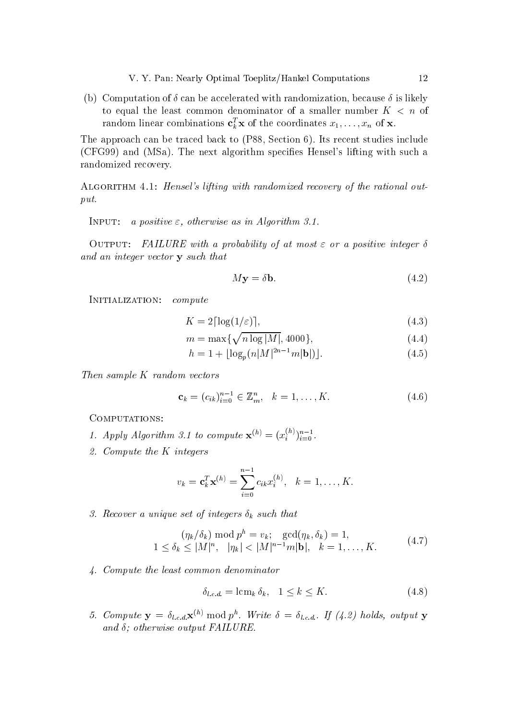(b) Computation of  $\delta$  can be accelerated with randomization, because  $\delta$  is likely to equal the least common denominator of a smaller number  $K < n$  of random linear combinations  $\mathbf{c}_k^T \mathbf{x}$  of the coordinates  $x_1, \ldots, x_n$  of  $\mathbf{x}$ .

The approach can be traced back to (P88, Section 6). Its recent studies include (CFG99) and (MSa). The next algorithm specifies Hensel's lifting with such a randomized recovery.

ALGORITHM 4.1: Hensel's lifting with randomized recovery of the rational out $put.$ 

a positive  $\varepsilon$ , otherwise as in Algorithm 3.1. INPUT:

OUTPUT: FAILURE with a probability of at most  $\varepsilon$  or a positive integer  $\delta$ and an integer vector y such that

$$
M\mathbf{y} = \delta \mathbf{b}.\tag{4.2}
$$

INITIALIZATION:  $\it{compute}$ 

$$
K = 2\lceil \log(1/\varepsilon) \rceil,\tag{4.3}
$$

$$
m = \max\{\sqrt{n\log|M|}, 4000\},\tag{4.4}
$$

$$
h = 1 + \lfloor \log_p(n|M|^{2n-1}m|\mathbf{b}|) \rfloor.
$$
 (4.5)

Then sample K random vectors

$$
\mathbf{c}_k = (c_{ik})_{i=0}^{n-1} \in \mathbb{Z}_m^n, \quad k = 1, \dots, K. \tag{4.6}
$$

COMPUTATIONS:

- 1. Apply Algorithm 3.1 to compute  $\mathbf{x}^{(h)} = (x_i^{(h)})_{i=0}^{n-1}$ .
- 2. Compute the  $K$  integers

$$
v_k = \mathbf{c}_k^T \mathbf{x}^{(h)} = \sum_{i=0}^{n-1} c_{ik} x_i^{(h)}, \quad k = 1, \dots, K.
$$

3. Recover a unique set of integers  $\delta_k$  such that

$$
(\eta_k/\delta_k) \mod p^h = v_k; \gcd(\eta_k, \delta_k) = 1,1 \le \delta_k \le |M|^n, \ |\eta_k| < |M|^{n-1}m|\mathbf{b}|, \ k = 1, ..., K.
$$
 (4.7)

4. Compute the least common denominator

$$
\delta_{l.c.d.} = \operatorname{lcm}_k \delta_k, \quad 1 \le k \le K. \tag{4.8}
$$

5. Compute  $\mathbf{y} = \delta_{l.c.d.} \mathbf{x}^{(h)}$  mod  $p^h$ . Write  $\delta = \delta_{l.c.d.}$ . If (4.2) holds, output y and  $\delta$ ; otherwise output FAILURE.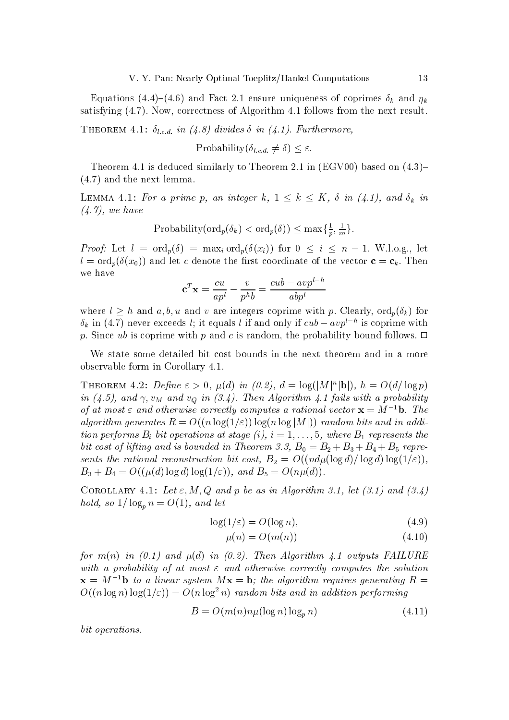Equations (4.4)–(4.6) and Fact 2.1 ensure uniqueness of coprimes  $\delta_k$  and  $\eta_k$ satisfying (4.7). Now, correctness of Algorithm 4.1 follows from the next result.

**THEOREM** 4.1:  $\delta_{l,c,d}$  in (4.8) divides  $\delta$  in (4.1). Furthermore,

Probability
$$
(\delta_{l.c.d.} \neq \delta) \leq \varepsilon
$$
.

Theorem 4.1 is deduced similarly to Theorem 2.1 in (EGV00) based on  $(4.3)$ - $(4.7)$  and the next lemma.

LEMMA 4.1: For a prime p, an integer k,  $1 \leq k \leq K$ ,  $\delta$  in (4.1), and  $\delta_k$  in  $(4.7)$ , we have

$$
Probability(ord_p(\delta_k) < ord_p(\delta)) \le \max\{\frac{1}{p}, \frac{1}{m}\}.
$$

*Proof:* Let  $l = \text{ord}_p(\delta) = \max_i \text{ord}_p(\delta(x_i))$  for  $0 \leq i \leq n-1$ . W.l.o.g., let  $l = \text{ord}_n(\delta(x_0))$  and let c denote the first coordinate of the vector  $\mathbf{c} = \mathbf{c}_k$ . Then we have

$$
\mathbf{c}^T \mathbf{x} = \frac{cu}{ap^l} - \frac{v}{p^h b} = \frac{cub - avp^{l-h}}{abp^l}
$$

where  $l \geq h$  and  $a, b, u$  and v are integers coprime with p. Clearly,  $\text{ord}_p(\delta_k)$  for  $\delta_k$  in (4.7) never exceeds l; it equals l if and only if  $cub - avp^{l-h}$  is coprime with p. Since ub is coprime with p and c is random, the probability bound follows.  $\Box$ 

We state some detailed bit cost bounds in the next theorem and in a more observable form in Corollary 4.1.

THEOREM 4.2: Define  $\varepsilon > 0$ ,  $\mu(d)$  in  $(0.2)$ ,  $d = \log(|M|^n |\mathbf{b}|)$ ,  $h = O(d/\log p)$ in (4.5), and  $\gamma$ ,  $v_M$  and  $v_Q$  in (3.4). Then Algorithm 4.1 fails with a probability of at most  $\varepsilon$  and otherwise correctly computes a rational vector  $\mathbf{x} = M^{-1}\mathbf{b}$ . The algorithm generates  $R = O((n \log(1/\varepsilon)) \log(n \log|M|))$  random bits and in addition performs  $B_i$  bit operations at stage (i),  $i = 1, \ldots, 5$ , where  $B_1$  represents the bit cost of lifting and is bounded in Theorem 3.3,  $B_0 = B_2 + B_3 + B_4 + B_5$  represents the rational reconstruction bit cost,  $B_2 = O((nd\mu(\log d)/\log d)\log(1/\varepsilon)),$  $B_3 + B_4 = O((\mu(d) \log d) \log(1/\varepsilon))$ , and  $B_5 = O(n\mu(d))$ .

COROLLARY 4.1: Let  $\varepsilon$ , M, Q and p be as in Algorithm 3.1, let (3.1) and (3.4) hold, so  $1/\log_n n = O(1)$ , and let

$$
\log(1/\varepsilon) = O(\log n),\tag{4.9}
$$

$$
\mu(n) = O(m(n))\tag{4.10}
$$

for  $m(n)$  in (0.1) and  $\mu(d)$  in (0.2). Then Algorithm 4.1 outputs FAILURE with a probability of at most  $\varepsilon$  and otherwise correctly computes the solution  ${\bf x} = M^{-1}$ b to a linear system  $M{\bf x} = {\bf b}$ ; the algorithm requires generating  $R =$  $O((n \log n) \log(1/\varepsilon)) = O(n \log^2 n)$  random bits and in addition performing

$$
B = O(m(n)n\mu(\log n)\log_n n)
$$
\n(4.11)

bit operations.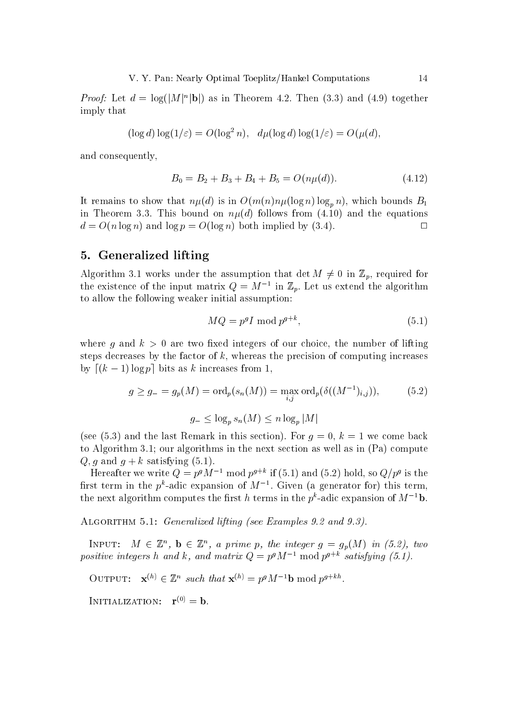*Proof:* Let  $d = \log(|M|^n|\mathbf{b}|)$  as in Theorem 4.2. Then (3.3) and (4.9) together imply that

$$
(\log d) \log(1/\varepsilon) = O(\log^2 n), \quad d\mu(\log d) \log(1/\varepsilon) = O(\mu(d)),
$$

and consequently.

$$
B_0 = B_2 + B_3 + B_4 + B_5 = O(n\mu(d)).
$$
\n(4.12)

It remains to show that  $n\mu(d)$  is in  $O(m(n)n\mu(\log n)\log_p n)$ , which bounds  $B_1$ in Theorem 3.3. This bound on  $n\mu(d)$  follows from (4.10) and the equations  $d = O(n \log n)$  and  $\log p = O(\log n)$  both implied by (3.4).  $\Box$ 

## 5. Generalized lifting

Algorithm 3.1 works under the assumption that det  $M \neq 0$  in  $\mathbb{Z}_p$ , required for the existence of the input matrix  $Q = M^{-1}$  in  $\mathbb{Z}_p$ . Let us extend the algorithm to allow the following weaker initial assumption:

$$
MQ = p^g I \bmod p^{g+k},\tag{5.1}
$$

where g and  $k > 0$  are two fixed integers of our choice, the number of lifting steps decreases by the factor of  $k$ , whereas the precision of computing increases by  $[(k-1)\log p]$  bits as k increases from 1,

$$
g \ge g_{-} = g_{p}(M) = \text{ord}_{p}(s_{n}(M)) = \max_{i,j} \text{ord}_{p}(\delta((M^{-1})_{i,j})),
$$
\n
$$
g_{-} \le \log_{p} s_{n}(M) \le n \log_{p} |M|
$$
\n
$$
(5.2)
$$

(see (5.3) and the last Remark in this section). For  $q = 0$ ,  $k = 1$  we come back to Algorithm 3.1; our algorithms in the next section as well as in  $(Pa)$  compute Q, q and  $q + k$  satisfying (5.1).

Hereafter we write  $Q = p^g M^{-1}$  mod  $p^{g+k}$  if (5.1) and (5.2) hold, so  $Q/p^g$  is the first term in the  $p^k$ -adic expansion of  $M^{-1}$ . Given (a generator for) this term. the next algorithm computes the first h terms in the  $p^k$ -adic expansion of  $M^{-1}$ **b**.

ALGORITHM 5.1: *Generalized lifting (see Examples 9.2 and 9.3)*.

INPUT:  $M \in \mathbb{Z}^n$ ,  $\mathbf{b} \in \mathbb{Z}^n$ , a prime p, the integer  $g = g_p(M)$  in (5.2), two positive integers h and k, and matrix  $Q = p^g M^{-1} \text{ mod } p^{g+k}$  satisfying (5.1).

OUTPUT:  $\mathbf{x}^{(h)} \in \mathbb{Z}^n$  such that  $\mathbf{x}^{(h)} = p^g M^{-1} \mathbf{b} \text{ mod } p^{g+kh}$ .

INITIALIZATION:  $\mathbf{r}^{(0)} = \mathbf{b}$ .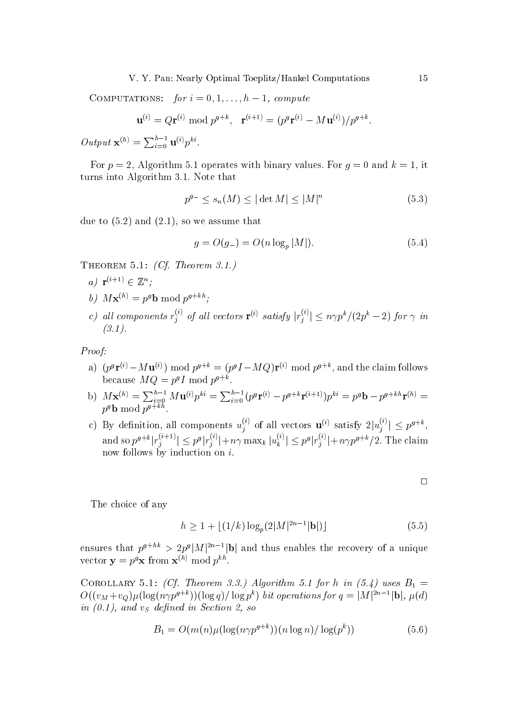COMPUTATIONS: for  $i = 0, 1, ..., h-1$ , compute

$$
\mathbf{u}^{(i)} = Q\mathbf{r}^{(i)} \bmod p^{g+k}, \ \ \mathbf{r}^{(i+1)} = (p^g \mathbf{r}^{(i)} - M\mathbf{u}^{(i)})/p^{g+k}.
$$

Output  $\mathbf{x}^{(h)} = \sum_{i=0}^{h-1} \mathbf{u}^{(i)} p^{ki}$ .

For  $p = 2$ , Algorithm 5.1 operates with binary values. For  $q = 0$  and  $k = 1$ , it turns into Algorithm 3.1. Note that

$$
p^{g-} \le s_n(M) \le |\det M| \le |M|^n \tag{5.3}
$$

due to  $(5.2)$  and  $(2.1)$ , so we assume that

$$
g = O(g_{-}) = O(n \log_p |M|). \tag{5.4}
$$

THEOREM 5.1: (Cf. Theorem 3.1.)

- a)  $\mathbf{r}^{(i+1)} \in \mathbb{Z}^n$ :
- b)  $M\mathbf{x}^{(h)} = p^g \mathbf{b} \bmod p^{g+kh}$ :
- c) all components  $r_i^{(i)}$  of all vectors  $\mathbf{r}^{(i)}$  satisfy  $|r_i^{(i)}| \le n \gamma p^k / (2p^k 2)$  for  $\gamma$  in  $(3.1).$

Proof:

- a)  $(p^g \mathbf{r}^{(i)} M \mathbf{u}^{(i)}) \bmod p^{g+k} = (p^g I MQ)\mathbf{r}^{(i)} \bmod p^{g+k}$ , and the claim follows because  $MQ = p^gI \text{ mod } p^{g+k}$ .
- b)  $M\mathbf{x}^{(h)} = \sum_{i=0}^{h-1} M\mathbf{u}^{(i)} p^{ki} = \sum_{i=0}^{h-1} (p^g \mathbf{r}^{(i)} p^{g+k} \mathbf{r}^{(i+1)}) p^{ki} = p^g \mathbf{b} p^{g+kh} \mathbf{r}^{(h)} = p^g \mathbf{b} \mod p^{g+kh}$
- c) By definition, all components  $u_i^{(i)}$  of all vectors  $\mathbf{u}^{(i)}$  satisfy  $2|u_i^{(i)}| \leq p^{g+k}$ . and so  $p^{g+k}|r_j^{(i+1)}| \leq p^g|r_j^{(i)}|+n\gamma \max_k |u_k^{(i)}| \leq p^g|r_j^{(i)}|+n\gamma p^{g+k}/2$ . The claim now follows by induction on  $i$ .

 $\Box$ 

The choice of any

$$
h \ge 1 + \lfloor (1/k) \log_p(2|M|^{2n-1}|\mathbf{b}|) \rfloor \tag{5.5}
$$

ensures that  $p^{g+hk} > 2p^g |M|^{2n-1} |\mathbf{b}|$  and thus enables the recovery of a unique vector  $\mathbf{y} = p^g \mathbf{x}$  from  $\mathbf{x}^{(h)}$  mod  $p^{kh}$ .

COROLLARY 5.1: (Cf. Theorem 3.3.) Algorithm 5.1 for h in  $(5.4)$  uses  $B_1 =$  $O((v_M+v_Q)\mu(\log(n\gamma p^{g+k}))(\log q)/\log p^k)$  bit operations for  $q=\left|M\right|^{2n-1}|\mathbf{b}|, \mu(d)$ in  $(0.1)$ , and  $v<sub>S</sub>$  defined in Section 2, so

$$
B_1 = O(m(n)\mu(\log(n\gamma p^{g+k}))\frac{n\log n}{\log(p^k)})\tag{5.6}
$$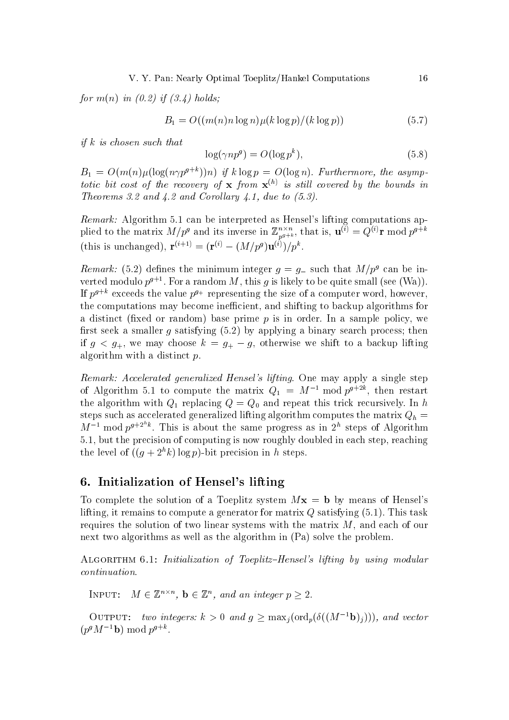for  $m(n)$  in  $(0.2)$  if  $(3.4)$  holds;

$$
B_1 = O((m(n)n\log n)\mu(k\log p)/(k\log p))\tag{5.7}
$$

if  $k$  is chosen such that

$$
\log(\gamma np^g) = O(\log p^k),\tag{5.8}
$$

 $B_1 = O(m(n)\mu(\log(n\gamma p^{g+k}))n)$  if  $k \log p = O(\log n)$ . Furthermore, the asymptotic bit cost of the recovery of  $\bf{x}$  from  $\bf{x}^{(h)}$  is still covered by the bounds in Theorems 3.2 and  $\angle 4.2$  and Corollary  $\angle 4.1$ , due to (5.3).

*Remark:* Algorithm 5.1 can be interpreted as Hensel's lifting computations applied to the matrix  $M/p^g$  and its inverse in  $\mathbb{Z}_{p^{g+k}}^{n\times n}$ , that is,  $\mathbf{u}^{(i)}=Q^{(i)}\mathbf{r} \bmod p^{g+k}$ (this is unchanged),  ${\bf r}^{(i+1)} = ({\bf r}^{(i)} - (M/p^g){\bf u}^{(i)})/p^k$ .

*Remark:* (5.2) defines the minimum integer  $g = g$  such that  $M/p^g$  can be inverted modulo  $p^{g+1}$ . For a random M, this g is likely to be quite small (see (Wa)). If  $p^{g+k}$  exceeds the value  $p^{g+}$  representing the size of a computer word, however, the computations may become inefficient, and shifting to backup algorithms for a distinct (fixed or random) base prime  $p$  is in order. In a sample policy, we first seek a smaller  $g$  satisfying  $(5.2)$  by applying a binary search process; then if  $g \lt g_+$ , we may choose  $k = g_+ - g$ , otherwise we shift to a backup lifting algorithm with a distinct  $p$ .

Remark: Accelerated generalized Hensel's lifting. One may apply a single step of Algorithm 5.1 to compute the matrix  $Q_1 = M^{-1}$  mod  $p^{g+2k}$ , then restart the algorithm with  $Q_1$  replacing  $Q = Q_0$  and repeat this trick recursively. In h steps such as accelerated generalized lifting algorithm computes the matrix  $Q_h =$  $M^{-1}$  mod  $p^{g+2^h k}$ . This is about the same progress as in  $2^h$  steps of Algorithm 5.1, but the precision of computing is now roughly doubled in each step, reaching the level of  $((g+2^h k)\log p)$ -bit precision in h steps.

## 6. Initialization of Hensel's lifting

To complete the solution of a Toeplitz system  $Mx = b$  by means of Hensel's lifting, it remains to compute a generator for matrix  $Q$  satisfying  $(5.1)$ . This task requires the solution of two linear systems with the matrix  $M$ , and each of our next two algorithms as well as the algorithm in (Pa) solve the problem.

ALGORITHM 6.1: Initialization of Toeplitz-Hensel's lifting by using modular  $continuation.$ 

INPUT:  $M \in \mathbb{Z}^{n \times n}$ ,  $\mathbf{b} \in \mathbb{Z}^n$ , and an integer  $p \geq 2$ .

OUTPUT: two integers:  $k > 0$  and  $g \geq \max_i(\text{ord}_p(\delta((M^{-1}\mathbf{b})_i)))$ , and vector  $(p^g M^{-1} \mathbf{b}) \bmod p^{g+k}$ .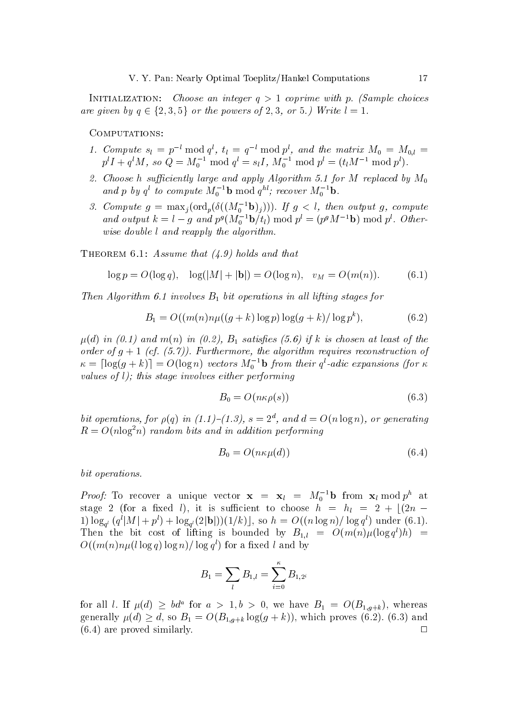INITIALIZATION: Choose an integer  $q > 1$  coprime with p. (Sample choices are given by  $q \in \{2,3,5\}$  or the powers of 2,3, or 5.) Write  $l = 1$ .

### COMPUTATIONS:

- 1. Compute  $s_l = p^{-l} \mod q^l$ ,  $t_l = q^{-l} \mod p^l$ , and the matrix  $M_0 = M_{0,l} = p^l I + q^l M$ , so  $Q = M_0^{-1} \mod q^l = s_l I$ ,  $M_0^{-1} \mod p^l = (t_l M^{-1} \mod p^l)$ .
- 2. Choose h sufficiently large and apply Algorithm 5.1 for M replaced by  $M_0$ and p by  $q^l$  to compute  $M_0^{-1}$ **b** mod  $q^{hl}$ ; recover  $M_0^{-1}$ **b**.
- 3. Compute  $g = \max_j(\text{ord}_p(\delta((M_0^{-1} \mathbf{b})_j)))$ . If  $g < l$ , then output g, compute and output  $k = l - g$  and  $p^g(M_0^{-1}b/t_l)$  mod  $p^l = (p^gM^{-1}b)$  mod  $p^l$ . Otherwise double l and reapply the algorithm.

THEOREM 6.1: Assume that  $(4.9)$  holds and that

$$
\log p = O(\log q), \quad \log(|M| + |\mathbf{b}|) = O(\log n), \quad v_M = O(m(n)). \tag{6.1}
$$

Then Algorithm 6.1 involves  $B_1$  bit operations in all lifting stages for

$$
B_1 = O((m(n)n\mu((g+k)\log p)\log(g+k)/\log p^k),
$$
 (6.2)

 $\mu(d)$  in (0.1) and m(n) in (0.2),  $B_1$  satisfies (5.6) if k is chosen at least of the order of  $g + 1$  (cf. (5.7)). Furthermore, the algorithm requires reconstruction of  $\kappa = \lfloor \log(g+k) \rfloor = O(\log n)$  vectors  $M_0^{-1}$ **b** from their  $q^l$ -adic expansions (for  $\kappa$ values of  $l$ ); this stage involves either performing

$$
B_0 = O(n\kappa \rho(s))\tag{6.3}
$$

bit operations, for  $\rho(q)$  in (1.1)–(1.3),  $s = 2^d$ , and  $d = O(n \log n)$ , or generating  $R = O(n \log^2 n)$  random bits and in addition performing

$$
B_0 = O(n\kappa\mu(d))\tag{6.4}
$$

bit operations.

*Proof:* To recover a unique vector  $\mathbf{x} = \mathbf{x}_l = M_0^{-1} \mathbf{b}$  from  $\mathbf{x}_l \text{ mod } p^h$  at stage 2 (for a fixed l), it is sufficient to choose  $h = h_l = 2 + \lfloor (2n -$ 1)  $\log_{q^l}(q^l|M|+p^l)+\log_{q^l}(2|\mathbf{b}|))(1/k)$ , so  $h=O((n\log n)/\log q^l)$  under (6.1). Then the bit cost of lifting is bounded by  $B_{1,l} = O(m(n)\mu(\log q^l)h)$  =  $O((m(n)n\mu(l\log q)\log n)/\log q^l)$  for a fixed l and by

$$
B_1 = \sum_l B_{1,l} = \sum_{i=0}^{\kappa} B_{1,2^i}
$$

for all l. If  $\mu(d) \geq bd^a$  for  $a > 1, b > 0$ , we have  $B_1 = O(B_{1,g+k})$ , whereas generally  $\mu(d) \geq d$ , so  $B_1 = O(B_{1,q+k} \log(g+k))$ , which proves (6.2). (6.3) and  $(6.4)$  are proved similarly.  $\Box$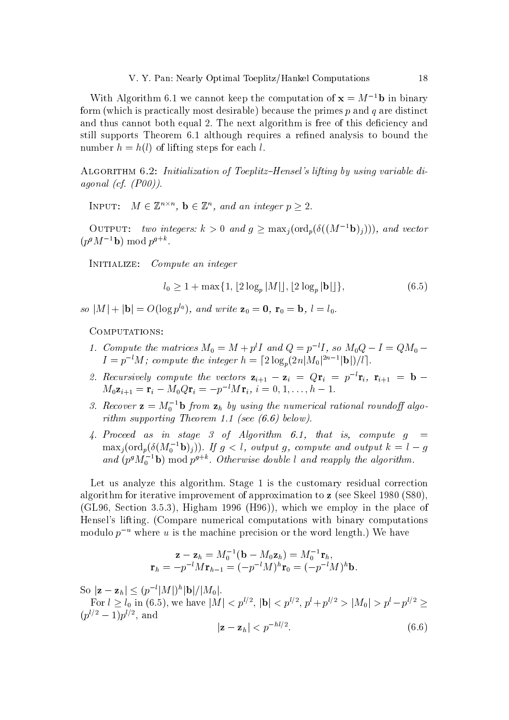With Algorithm 6.1 we cannot keep the computation of  $x = M^{-1}b$  in binary form (which is practically most desirable) because the primes  $p$  and  $q$  are distinct and thus cannot both equal 2. The next algorithm is free of this deficiency and still supports Theorem 6.1 although requires a refined analysis to bound the number  $h = h(l)$  of lifting steps for each l.

ALGORITHM 6.2: Initialization of Toeplitz-Hensel's lifting by using variable diagonal (cf.  $(PO0)$ ).

INPUT:  $M \in \mathbb{Z}^{n \times n}$ ,  $\mathbf{b} \in \mathbb{Z}^n$ , and an integer  $p > 2$ .

OUTPUT: two integers:  $k > 0$  and  $g \geq \max_i(\text{ord}_p(\delta((M^{-1}\mathbf{b})_i)))$ , and vector  $(p^g M^{-1}$ **b**) mod  $p^{g+k}$ .

INITIALIZE: Compute an integer

$$
l_0 \ge 1 + \max\{1, \lfloor 2\log_p |M| \rfloor, \lfloor 2\log_p |{\bf b}| \rfloor \},\tag{6.5}
$$

so  $|M| + |{\bf b}| = O(\log p^{l_0})$ , and write  ${\bf z}_0 = {\bf 0}$ ,  ${\bf r}_0 = {\bf b}$ ,  $l = l_0$ .

COMPUTATIONS:

- 1. Compute the matrices  $M_0 = M + p^l I$  and  $Q = p^{-l} I$ , so  $M_0 Q I = Q M_0$  $I = p^{-l}M$ ; compute the integer  $h = \lceil 2\log_p(2n|M_0|^{2n-1}|\mathbf{b}|)/l \rceil$ .
- 2. Recursively compute the vectors  $\mathbf{z}_{i+1} \mathbf{z}_i = Q\mathbf{r}_i = p^{-l}\mathbf{r}_i$ ,  $\mathbf{r}_{i+1} = \mathbf{b} M_0 \mathbf{z}_{i+1} = \mathbf{r}_i - M_0 Q \mathbf{r}_i = -p^{-l} M \mathbf{r}_i, i = 0, 1, \dots, h-1.$
- 3. Recover  $\mathbf{z} = M_0^{-1} \mathbf{b}$  from  $\mathbf{z}_h$  by using the numerical rational roundoff algorithm supporting Theorem 1.1 (see  $(6.6)$  below).
- 4. Proceed as in stage 3 of Algorithm 6.1, that is, compute  $g =$  $\max_j(\text{ord}_p(\delta(M_0^{-1} \mathbf{b})_j))$ . If  $g < l$ , output g, compute and output  $k = l - g$ and  $(p^g M_0^{-1}$ **b**) mod  $p^{g+k}$ . Otherwise double l and reapply the algorithm.

Let us analyze this algorithm. Stage 1 is the customary residual correction algorithm for iterative improvement of approximation to  $z$  (see Skeel 1980 (S80), (GL96, Section 3.5.3), Higham 1996 (H96)), which we employ in the place of Hensel's lifting. (Compare numerical computations with binary computations modulo  $p^{-u}$  where u is the machine precision or the word length.) We have

$$
\mathbf{z} - \mathbf{z}_h = M_0^{-1}(\mathbf{b} - M_0 \mathbf{z}_h) = M_0^{-1} \mathbf{r}_h,
$$
  

$$
\mathbf{r}_h = -p^{-l} M \mathbf{r}_{h-1} = (-p^{-l} M)^h \mathbf{r}_0 = (-p^{-l} M)^h \mathbf{b}.
$$

So  $|z - z_h| \le (p^{-l}|M|)^h |\mathbf{b}|/|M_0|$ .

For  $l \ge l_0$  in (6.5), we have  $|M| < p^{l/2}$ ,  $|\mathbf{b}| < p^{l/2}$ ,  $p^l + p^{l/2} > |M_0| > p^l - p^{l/2} \ge$  $(p^{l/2}-1)p^{l/2}$ , and

$$
|\mathbf{z} - \mathbf{z}_h| < p^{-nt/2}.\tag{6.6}
$$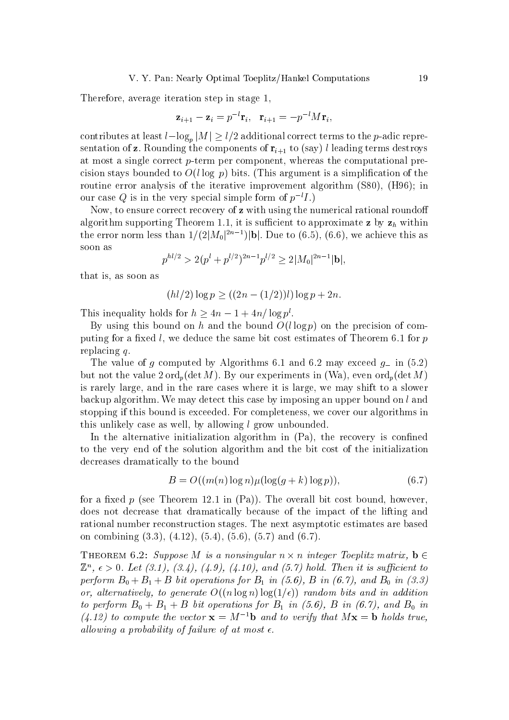Therefore, average iteration step in stage 1,

$$
\mathbf{z}_{i+1} - \mathbf{z}_i = p^{-l} \mathbf{r}_i, \quad \mathbf{r}_{i+1} = -p^{-l} M \mathbf{r}_i,
$$

contributes at least  $l - \log_p |M| \ge l/2$  additional correct terms to the *p*-adic representation of z. Rounding the components of  $\mathbf{r}_{i+1}$  to (say) l leading terms destroys at most a single correct  $p$ -term per component, whereas the computational precision stays bounded to  $O(l \log p)$  bits. (This argument is a simplification of the routine error analysis of the iterative improvement algorithm (S80), (H96); in our case Q is in the very special simple form of  $p^{-l}I$ .)

Now, to ensure correct recovery of z with using the numerical rational roundoff algorithm supporting Theorem 1.1, it is sufficient to approximate z by  $z_h$  within the error norm less than  $1/(2|M_0|^{2n-1})|\mathbf{b}|$ . Due to (6.5), (6.6), we achieve this as soon as

$$
p^{h l/2} > 2(p^l + p^{l/2})^{2n-1} p^{l/2} \ge 2|M_0|^{2n-1} |\mathbf{b}|,
$$

that is, as soon as

$$
(hl/2)\log p \ge ((2n - (1/2))l)\log p + 2n
$$

This inequality holds for  $h > 4n - 1 + 4n/\log p^l$ .

By using this bound on h and the bound  $O(l \log p)$  on the precision of computing for a fixed l, we deduce the same bit cost estimates of Theorem 6.1 for  $p$ replacing  $q$ .

The value of q computed by Algorithms 6.1 and 6.2 may exceed  $q_{-}$  in (5.2) but not the value  $2 \text{ ord}_n(\det M)$ . By our experiments in (Wa), even  $\text{ord}_n(\det M)$ is rarely large, and in the rare cases where it is large, we may shift to a slower backup algorithm. We may detect this case by imposing an upper bound on  $l$  and stopping if this bound is exceeded. For completeness, we cover our algorithms in this unlikely case as well, by allowing l grow unbounded.

In the alternative initialization algorithm in  $(Pa)$ , the recovery is confined to the very end of the solution algorithm and the bit cost of the initialization decreases dramatically to the bound

$$
B = O((m(n)\log n)\mu(\log(g+k)\log p)),\tag{6.7}
$$

for a fixed p (see Theorem 12.1 in  $(Pa)$ ). The overall bit cost bound, however, does not decrease that dramatically because of the impact of the lifting and rational number reconstruction stages. The next asymptotic estimates are based on combining  $(3.3)$ ,  $(4.12)$ ,  $(5.4)$ ,  $(5.6)$ ,  $(5.7)$  and  $(6.7)$ .

THEOREM 6.2: Suppose M is a nonsingular  $n \times n$  integer Toeplitz matrix,  $\mathbf{b} \in$  $\mathbb{Z}^n$ ,  $\epsilon > 0$ . Let (3.1), (3.4), (4.9), (4.10), and (5.7) hold. Then it is sufficient to perform  $B_0 + B_1 + B$  bit operations for  $B_1$  in (5.6), B in (6.7), and  $B_0$  in (3.3) or, alternatively, to generate  $O((n \log n) \log(1/\epsilon))$  random bits and in addition to perform  $B_0 + B_1 + B$  bit operations for  $B_1$  in (5.6), B in (6.7), and  $B_0$  in  $(4.12)$  to compute the vector  $\mathbf{x} = M^{-1}\mathbf{b}$  and to verify that  $M\mathbf{x} = \mathbf{b}$  holds true, allowing a probability of failure of at most  $\epsilon$ .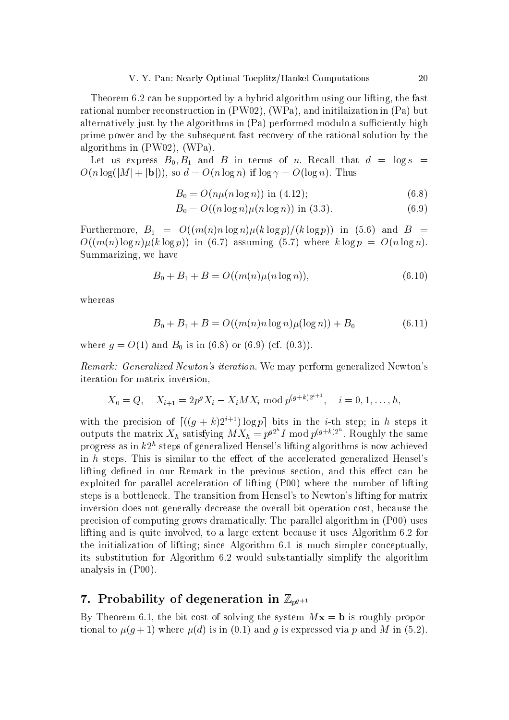Theorem 6.2 can be supported by a hybrid algorithm using our lifting, the fast rational number reconstruction in (PW02), (WPa), and initilaization in (Pa) but alternatively just by the algorithms in (Pa) performed modulo a sufficiently high prime power and by the subsequent fast recovery of the rational solution by the algorithms in  $(PW02)$ ,  $(WPa)$ .

Let us express  $B_0, B_1$  and B in terms of n. Recall that  $d = \log s$  $O(n \log(|M| + |\mathbf{b}|))$ , so  $d = O(n \log n)$  if  $\log \gamma = O(\log n)$ . Thus

$$
B_0 = O(n\mu(n\log n)) \text{ in (4.12)};
$$
 (6.8)

$$
B_0 = O((n \log n)\mu(n \log n)) \text{ in (3.3).}
$$
 (6.9)

Furthermore,  $B_1 = O((m(n)n \log n)\mu(k \log p)/(k \log p))$  in (5.6) and  $B =$  $O((m(n)\log n)\mu(k\log p))$  in (6.7) assuming (5.7) where  $k\log p = O(n\log n)$ . Summarizing, we have

$$
B_0 + B_1 + B = O((m(n)\mu(n\log n)),\tag{6.10}
$$

whereas

$$
B_0 + B_1 + B = O((m(n)n \log n)\mu(\log n)) + B_0 \tag{6.11}
$$

where  $g = O(1)$  and  $B_0$  is in (6.8) or (6.9) (cf. (0.3)).

*Remark: Generalized Newton's iteration.* We may perform generalized Newton's iteration for matrix inversion.

$$
X_0 = Q, \quad X_{i+1} = 2p^g X_i - X_i M X_i \text{ mod } p^{(g+k)2^{i+1}}, \quad i = 0, 1, \dots, h,
$$

with the precision of  $[(g+k)2^{i+1})\log p]$  bits in the *i*-th step; in *h* steps it outputs the matrix  $X_h$  satisfying  $MX_h = p^{g2^h} I \text{ mod } p^{(g+k)2^h}$ . Roughly the same progress as in  $k2^h$  steps of generalized Hensel's lifting algorithms is now achieved in h steps. This is similar to the effect of the accelerated generalized Hensel's lifting defined in our Remark in the previous section, and this effect can be exploited for parallel acceleration of lifting (P00) where the number of lifting steps is a bottleneck. The transition from Hensel's to Newton's lifting for matrix inversion does not generally decrease the overall bit operation cost, because the precision of computing grows dramatically. The parallel algorithm in (P00) uses lifting and is quite involved, to a large extent because it uses Algorithm 6.2 for the initialization of lifting; since Algorithm 6.1 is much simpler conceptually, its substitution for Algorithm 6.2 would substantially simplify the algorithm analysis in  $(P00)$ .

## 7. Probability of degeneration in  $\mathbb{Z}_{p^{g+1}}$

By Theorem 6.1, the bit cost of solving the system  $Mx = b$  is roughly proportional to  $\mu(g+1)$  where  $\mu(d)$  is in (0.1) and g is expressed via p and M in (5.2).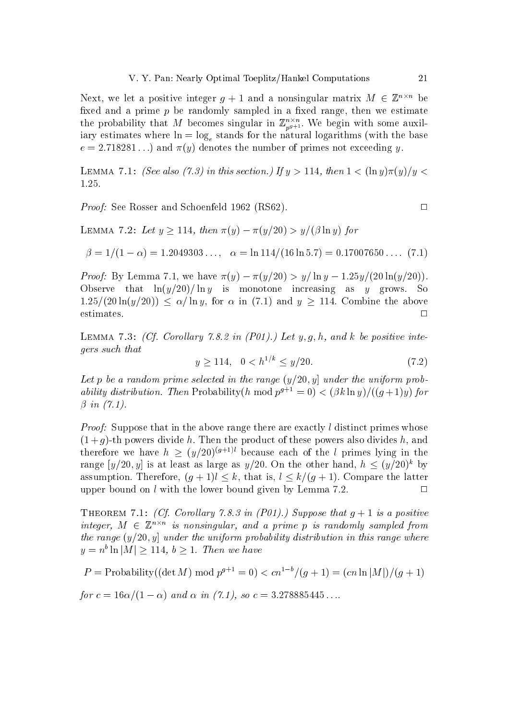Next, we let a positive integer  $g + 1$  and a nonsingular matrix  $M \in \mathbb{Z}^{n \times n}$  be fixed and a prime  $p$  be randomly sampled in a fixed range, then we estimate the probability that M becomes singular in  $\mathbb{Z}_{p^{g+1}}^{n \times n}$ . We begin with some auxiliary estimates where  $\ln = \log_e$  stands for the natural logarithms (with the base  $e = 2.718281...$ ) and  $\pi(y)$  denotes the number of primes not exceeding y.

LEMMA 7.1: (See also (7.3) in this section.) If  $y > 114$ , then  $1 < (\ln y)\pi(y)/y <$ 1.25.

*Proof:* See Rosser and Schoenfeld 1962 (RS62).

LEMMA 7.2: Let  $y \ge 114$ , then  $\pi(y) - \pi(y/20) > y/(\beta \ln y)$  for

$$
\beta = 1/(1 - \alpha) = 1.2049303..., \quad \alpha = \ln 114/(16 \ln 5.7) = 0.17007650.... \tag{7.1}
$$

*Proof:* By Lemma 7.1, we have  $\pi(y) - \pi(y/20) > y/\ln y - 1.25y/(20 \ln(y/20))$ . Observe that  $\ln(y/20)/\ln y$  is monotone increasing as y grows. S<sub>o</sub>  $1.25/(20 \ln(y/20)) \le \alpha/\ln y$ , for  $\alpha$  in (7.1) and  $y \ge 114$ . Combine the above estimates.  $\Box$ 

LEMMA 7.3: (Cf. Corollary 7.8.2 in (P01).) Let  $y, g, h$ , and k be positive integers such that

$$
y \ge 114, \quad 0 < h^{1/k} \le y/20. \tag{7.2}
$$

Let p be a random prime selected in the range  $(y/20, y)$  under the uniform probability distribution. Then Probability (h mod  $p^{g+1} = 0$ ) <  $(\beta k \ln y) / ((g+1)y)$  for  $\beta$  in  $(7.1)$ .

*Proof:* Suppose that in the above range there are exactly l distinct primes whose  $(1+q)$ -th powers divide h. Then the product of these powers also divides h, and therefore we have  $h \ge (y/20)^{(g+1)l}$  because each of the l primes lying in the range  $[y/20, y]$  is at least as large as  $y/20$ . On the other hand,  $h \leq (y/20)^k$  by assumption. Therefore,  $(q + 1)l \le k$ , that is,  $l \le k/(q + 1)$ . Compare the latter upper bound on  $l$  with the lower bound given by Lemma 7.2.  $\Box$ 

THEOREM 7.1: (Cf. Corollary 7.8.3 in (P01).) Suppose that  $q+1$  is a positive integer,  $M \in \mathbb{Z}^{n \times n}$  is nonsingular, and a prime p is randomly sampled from the range  $(y/20, y)$  under the uniform probability distribution in this range where  $y = n^b \ln|M| > 114, b > 1$ . Then we have

 $P = \text{Probability}((\det M) \mod p^{g+1} = 0) < cn^{1-b}/(g+1) = (cn \ln |M|)/(g+1)$ 

for  $c = 16\alpha/(1 - \alpha)$  and  $\alpha$  in (7.1), so  $c = 3.278885445...$ 

 $\Box$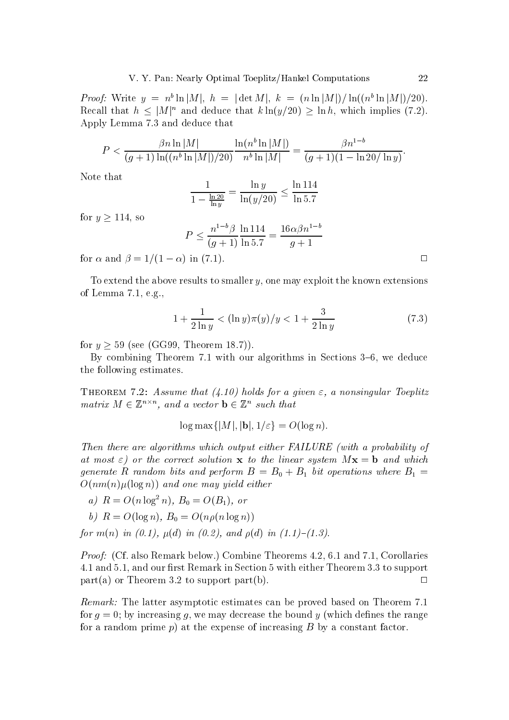*Proof:* Write  $y = n^b \ln|M|$ ,  $h = |\det M|$ ,  $k = (n \ln |M|)/\ln((n^b \ln |M|)/20)$ . Recall that  $h \leq |M|^n$  and deduce that  $k \ln(y/20) \geq \ln h$ , which implies (7.2). Apply Lemma 7.3 and deduce that

$$
P < \frac{\beta n \ln |M|}{(g+1)\ln((n^b \ln |M|)/20)} \frac{\ln(n^b \ln |M|)}{n^b \ln |M|} = \frac{\beta n^{1-b}}{(g+1)(1-\ln 20/\ln y)}
$$

Note that

$$
\frac{1}{1 - \frac{\ln 20}{\ln y}} = \frac{\ln y}{\ln(y/20)} \le \frac{\ln 114}{\ln 5.7}
$$

for  $y \ge 114$ , so

$$
P \le \frac{n^{1-b}\beta}{(g+1)} \frac{\ln 114}{\ln 5.7} = \frac{16\alpha\beta n^{1-l}}{g+1}
$$

for  $\alpha$  and  $\beta = 1/(1 - \alpha)$  in (7.1).

To extend the above results to smaller  $y$ , one may exploit the known extensions of Lemma  $7.1, e.g.,$ 

$$
1 + \frac{1}{2\ln y} < (\ln y)\pi(y)/y < 1 + \frac{3}{2\ln y} \tag{7.3}
$$

for  $y \geq 59$  (see (GG99, Theorem 18.7)).

By combining Theorem 7.1 with our algorithms in Sections 3–6, we deduce the following estimates.

THEOREM 7.2: Assume that (4.10) holds for a given  $\varepsilon$ , a nonsingular Toeplitz matrix  $M \in \mathbb{Z}^{n \times n}$ , and a vector  $\mathbf{b} \in \mathbb{Z}^n$  such that

$$
\log \max\{|M|, |\mathbf{b}|, 1/\varepsilon\} = O(\log n)
$$

Then there are algorithms which output either FAILURE (with a probability of at most  $\varepsilon$ ) or the correct solution **x** to the linear system  $M$ **x** = **b** and which generate R random bits and perform  $B = B_0 + B_1$  bit operations where  $B_1 =$  $O(nm(n)\mu(\log n))$  and one may yield either

a)  $R = O(n \log^2 n)$ ,  $B_0 = O(B_1)$ , or

b) 
$$
R = O(\log n), B_0 = O(n\rho(n\log n))
$$

for  $m(n)$  in (0.1),  $\mu(d)$  in (0.2), and  $\rho(d)$  in (1.1)-(1.3).

*Proof:* (Cf. also Remark below.) Combine Theorems 4.2, 6.1 and 7.1, Corollaries 4.1 and 5.1, and our first Remark in Section 5 with either Theorem 3.3 to support part(a) or Theorem 3.2 to support part(b).  $\Box$ 

Remark: The latter asymptotic estimates can be proved based on Theorem 7.1 for  $q = 0$ ; by increasing q, we may decrease the bound y (which defines the range for a random prime  $p$ ) at the expense of increasing  $B$  by a constant factor.

 $\Box$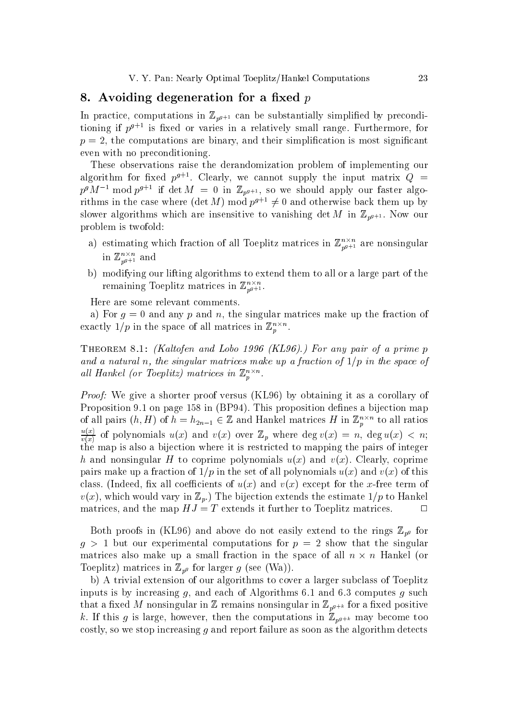## 8. Avoiding degeneration for a fixed p

In practice, computations in  $\mathbb{Z}_{p^{g+1}}$  can be substantially simplified by preconditioning if  $p^{g+1}$  is fixed or varies in a relatively small range. Furthermore, for  $p = 2$ , the computations are binary, and their simplification is most significant even with no preconditioning.

These observations raise the derandomization problem of implementing our algorithm for fixed  $p^{g+1}$ . Clearly, we cannot supply the input matrix  $Q =$  $p^g M^{-1}$  mod  $p^{g+1}$  if det  $M = 0$  in  $\mathbb{Z}_{p^{g+1}}$ , so we should apply our faster algorithms in the case where  $(\det M) \bmod p^{g+1} \neq 0$  and otherwise back them up by slower algorithms which are insensitive to vanishing det M in  $\mathbb{Z}_{p^{g+1}}$ . Now our problem is twofold:

- a) estimating which fraction of all Toeplitz matrices in  $\mathbb{Z}_{p^{g+1}}^{n \times n}$  are nonsingular in  $\mathbb{Z}_{p^{g+1}}^{n \times n}$  and
- b) modifying our lifting algorithms to extend them to all or a large part of the remaining Toeplitz matrices in  $\mathbb{Z}_{ps+1}^{n \times n}$ .

Here are some relevant comments.

a) For  $g = 0$  and any p and n, the singular matrices make up the fraction of exactly 1/p in the space of all matrices in  $\mathbb{Z}_p^{n \times n}$ .

THEOREM 8.1: (Kaltofen and Lobo 1996 (KL96).) For any pair of a prime p and a natural n, the singular matrices make up a fraction of  $1/p$  in the space of all Hankel (or Toeplitz) matrices in  $\mathbb{Z}_n^{n \times n}$ .

*Proof:* We give a shorter proof versus (KL96) by obtaining it as a corollary of Proposition 9.1 on page 158 in (BP94). This proposition defines a bijection map of all pairs  $(h, H)$  of  $h = h_{2n-1} \in \mathbb{Z}$  and Hankel matrices H in  $\mathbb{Z}_p^{n \times n}$  to all ratios  $\frac{u(x)}{v(x)}$  of polynomials  $u(x)$  and  $v(x)$  over  $\mathbb{Z}_p$  where  $\deg v(x) = n$ ,  $\deg u(x) < n$ ; the map is also a bijection where it is restricted to mapping the pairs of integer h and nonsingular H to coprime polynomials  $u(x)$  and  $v(x)$ . Clearly, coprime pairs make up a fraction of  $1/p$  in the set of all polynomials  $u(x)$  and  $v(x)$  of this class. (Indeed, fix all coefficients of  $u(x)$  and  $v(x)$  except for the x-free term of  $v(x)$ , which would vary in  $\mathbb{Z}_p$ .) The bijection extends the estimate  $1/p$  to Hankel matrices, and the map  $HJ = T$  extends it further to Toeplitz matrices.  $\Box$ 

Both proofs in (KL96) and above do not easily extend to the rings  $\mathbb{Z}_{p^g}$  for  $g > 1$  but our experimental computations for  $p = 2$  show that the singular matrices also make up a small fraction in the space of all  $n \times n$  Hankel (or Toeplitz) matrices in  $\mathbb{Z}_{p^g}$  for larger g (see (Wa)).

b) A trivial extension of our algorithms to cover a larger subclass of Toeplitz inputs is by increasing  $g$ , and each of Algorithms 6.1 and 6.3 computes  $g$  such that a fixed M nonsingular in Z remains nonsingular in  $\mathbb{Z}_{p^{g+k}}$  for a fixed positive k. If this g is large, however, then the computations in  $\mathbb{Z}_{p^{g+k}}$  may become too costly, so we stop increasing q and report failure as soon as the algorithm detects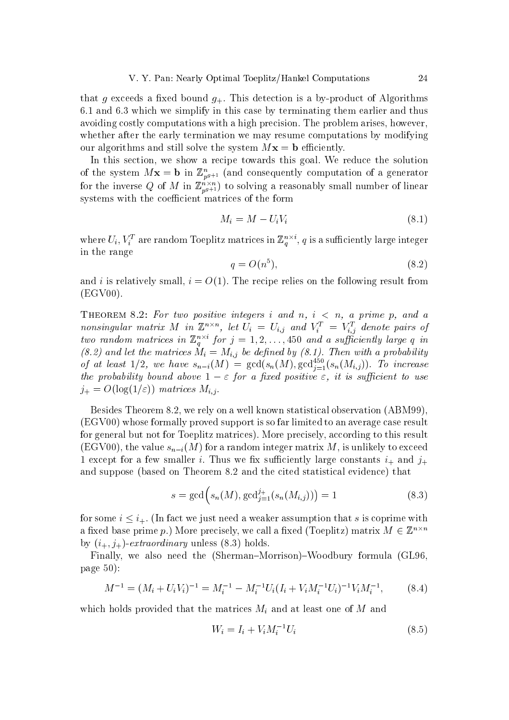that g exceeds a fixed bound  $g_+$ . This detection is a by-product of Algorithms 6.1 and 6.3 which we simplify in this case by terminating them earlier and thus avoiding costly computations with a high precision. The problem arises, however, whether after the early termination we may resume computations by modifying our algorithms and still solve the system  $Mx = b$  efficiently.

In this section, we show a recipe towards this goal. We reduce the solution of the system  $M\mathbf{x} = \mathbf{b}$  in  $\mathbb{Z}_{p^{g+1}}^n$  (and consequently computation of a generator for the inverse Q of M in  $\mathbb{Z}_{p^{g+1}}^{n \times n}$  to solving a reasonably small number of linear systems with the coefficient matrices of the form

$$
M_i = M - U_i V_i \tag{8.1}
$$

where  $U_i, V_i^T$  are random Toeplitz matrices in  $\mathbb{Z}_q^{n \times i}$ , q is a sufficiently large integer in the range

$$
q = O(n^5),\tag{8.2}
$$

and i is relatively small,  $i = O(1)$ . The recipe relies on the following result from  $(EGV00).$ 

THEOREM 8.2: For two positive integers i and n,  $i < n$ , a prime p, and a nonsingular matrix M in  $\mathbb{Z}^{n \times n}$ , let  $U_i = U_{i,j}$  and  $V_i^T = V_{i,j}^T$  denote pairs of two random matrices in  $\mathbb{Z}_q^{n \times i}$  for  $j = 1, 2, ..., 450$  and a sufficiently large q in (8.2) and let the matrices  $M_i = M_{i,j}$  be defined by (8.1). Then with a probability<br>of at least 1/2, we have  $s_{n-i}(M) = \gcd(s_n(M), \gcd_{j=1}^{450}(s_n(M_{i,j}))$ . To increase<br>the probability bound above  $1 - \varepsilon$  for a fixed positive  $\varepsilon$ ,  $j_{+} = O(\log(1/\varepsilon))$  matrices  $M_{i,j}$ .

Besides Theorem 8.2, we rely on a well known statistical observation (ABM99). (EGV00) whose formally proved support is so far limited to an average case result for general but not for Toeplitz matrices). More precisely, according to this result (EGV00), the value  $s_{n-i}(M)$  for a random integer matrix M, is unlikely to exceed 1 except for a few smaller i. Thus we fix sufficiently large constants  $i_+$  and  $j_+$ and suppose (based on Theorem 8.2 and the cited statistical evidence) that

$$
s = \gcd(s_n(M), \gcd_{j=1}^{j+}(s_n(M_{i,j}))) = 1
$$
\n(8.3)

for some  $i \leq i_+$ . (In fact we just need a weaker assumption that s is coprime with a fixed base prime p.) More precisely, we call a fixed (Toeplitz) matrix  $M \in \mathbb{Z}^{n \times n}$ by  $(i_+, j_+)$ - extraordinary unless (8.3) holds.

Finally, we also need the (Sherman-Morrison)-Woodbury formula (GL96. page  $50$ :

$$
M^{-1} = (M_i + U_i V_i)^{-1} = M_i^{-1} - M_i^{-1} U_i (I_i + V_i M_i^{-1} U_i)^{-1} V_i M_i^{-1},
$$
 (8.4)

which holds provided that the matrices  $M_i$  and at least one of M and

$$
W_i = I_i + V_i M_i^{-1} U_i \tag{8.5}
$$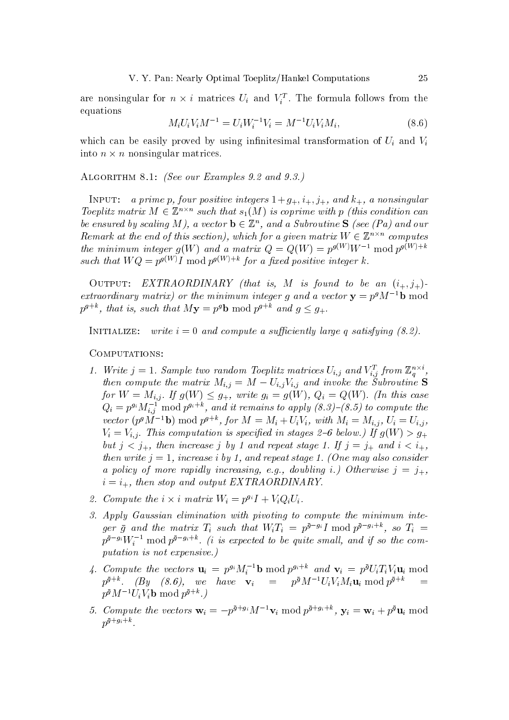are nonsingular for  $n \times i$  matrices  $U_i$  and  $V_i^T$ . The formula follows from the equations

$$
M_i U_i V_i M^{-1} = U_i W_i^{-1} V_i = M^{-1} U_i V_i M_i, \tag{8.6}
$$

which can be easily proved by using infinitesimal transformation of  $U_i$  and  $V_i$ into  $n \times n$  nonsingular matrices.

ALGORITHM 8.1: (See our Examples 9.2 and 9.3.)

INPUT: a prime p, four positive integers  $1+g_+, i_+, j_+,$  and  $k_+,$  a nonsingular Toeplitz matrix  $M \in \mathbb{Z}^{n \times n}$  such that  $s_1(M)$  is coprime with p (this condition can be ensured by scaling M), a vector  $\mathbf{b} \in \mathbb{Z}^n$ , and a Subroutine **S** (see (Pa) and our Remark at the end of this section), which for a given matrix  $W \in \mathbb{Z}^{n \times n}$  computes the minimum integer  $q(W)$  and a matrix  $Q = Q(W) = p^{g(W)}W^{-1}$  mod  $p^{g(W)+k}$ such that  $WQ = p^{g(W)}I$  mod  $p^{g(W)+k}$  for a fixed positive integer k.

OUTPUT: EXTRAORDINARY (that is, M is found to be an  $(i_+, j_+)$ . extraordinary matrix) or the minimum integer q and a vector  $y = p^g M^{-1}b$  mod  $p^{g+k}$ , that is, such that  $My = p^g b \mod p^{g+k}$  and  $g \leq g_+$ .

INITIALIZE: write  $i=0$  and compute a sufficiently large q satisfying  $(8.2)$ .

COMPUTATIONS:

- 1. Write  $j = 1$ . Sample two random Toeplitz matrices  $U_{i,j}$  and  $V_{i,j}^T$  from  $\mathbb{Z}_q^{n \times i}$ , then compute the matrix  $M_{i,j} = M - U_{i,j}V_{i,j}$  and invoke the Subroutine S for  $W = M_{i,j}$ . If  $g(W) \leq g_+$ , write  $g_i = g(W)$ ,  $Q_i = Q(W)$ . (In this case  $Q_i = p^{g_i} M_{i,j}^{-1}$  mod  $p^{g_i+k}$ , and it remains to apply  $(8.3)$ – $(8.5)$  to compute the vector  $(p^g \tilde{M}^{-1} \mathbf{b})$  mod  $p^{g+k}$ , for  $M = M_i + U_i V_i$ , with  $M_i = M_{i,j}$ ,  $U_i = U_{i,j}$ ,  $V_i = V_{i,i}$ . This computation is specified in stages 2–6 below.) If  $g(W) > g_+$ but  $j < j_+$ , then increase j by 1 and repeat stage 1. If  $j = j_+$  and  $i < i_+$ , then write  $j = 1$ , increase i by 1, and repeat stage 1. (One may also consider a policy of more rapidly increasing, e.g., doubling i.) Otherwise  $j = j_+,$  $i = i_+$ , then stop and output EXTRAORDINARY.
- 2. Compute the  $i \times i$  matrix  $W_i = p^{g_i} I + V_i Q_i U_i$ .
- 3. Apply Gaussian elimination with pivoting to compute the minimum integer  $\bar{g}$  and the matrix  $T_i$  such that  $W_i T_i = p^{\bar{g} - g_i} I \text{ mod } p^{\bar{g} - g_i + k}$ , so  $T_i =$  $p^{\bar{g}-g_i}W_i^{-1}$  mod  $p^{\bar{g}-g_i+k}$ . (*i* is expected to be quite small, and if so the computation is not expensive.)
- 4. Compute the vectors  $\mathbf{u}_i = p^{g_i} M_i^{-1} \mathbf{b} \bmod p^{g_i+k}$  and  $\mathbf{v}_i = p^{\bar{g}} U_i T_i V_i \mathbf{u}_i \bmod p^{g_i+k}$  $p^{\bar{g}+k}$ . (By (8.6), we have  $\mathbf{v}_i = p^{\bar{g}} M^{-1} U_i V_i M_i \mathbf{u}_i \bmod p^{\bar{g}+k}$  $p^{\bar{g}}M^{-1}U_iV_i$ **b** mod  $p^{\bar{g}+k}$ .
- 5. Compute the vectors  $\mathbf{w}_i = -p^{\bar{g}+g_i} M^{-1} \mathbf{v}_i \bmod p^{\bar{g}+g_i+k}$ ,  $\mathbf{y}_i = \mathbf{w}_i + p^{\bar{g}} \mathbf{u}_i \bmod p^{\bar{g}+g_i+k}$  $p^{\bar{g}+g_i+k}$ .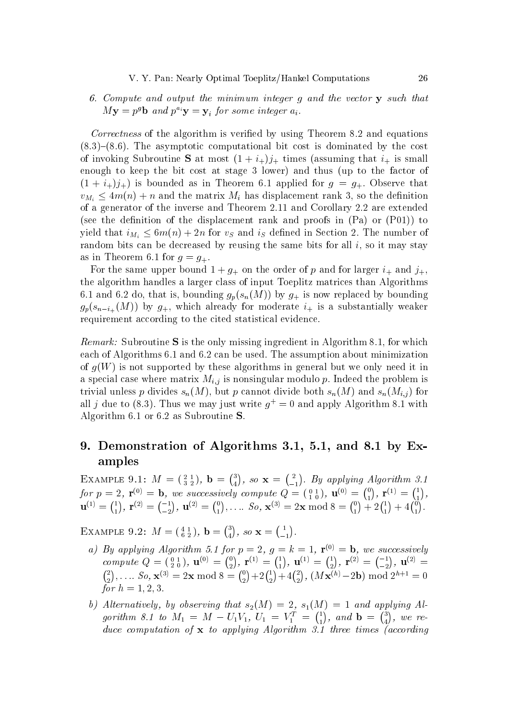6. Compute and output the minimum integer q and the vector y such that  $M\mathbf{y} = p^g \mathbf{b}$  and  $p^{a_i} \mathbf{y} = \mathbf{y}_i$  for some integer  $a_i$ .

*Correctness* of the algorithm is verified by using Theorem 8.2 and equations  $(8.3)$ – $(8.6)$ . The asymptotic computational bit cost is dominated by the cost of invoking Subroutine S at most  $(1 + i<sub>+</sub>)j<sub>+</sub>$  times (assuming that  $i<sub>+</sub>$  is small enough to keep the bit cost at stage 3 lower) and thus (up to the factor of  $(1 + i_{+})j_{+}$  is bounded as in Theorem 6.1 applied for  $q = q_{+}$ . Observe that  $v_{M_i} \leq 4m(n) + n$  and the matrix  $M_i$  has displacement rank 3, so the definition of a generator of the inverse and Theorem 2.11 and Corollary 2.2 are extended (see the definition of the displacement rank and proofs in  $(Pa)$  or  $(P01)$ ) to yield that  $i_{M_i} \leq 6m(n) + 2n$  for  $v_s$  and  $i_s$  defined in Section 2. The number of random bits can be decreased by reusing the same bits for all  $i$ , so it may stay as in Theorem 6.1 for  $q = q_+$ .

For the same upper bound  $1 + g_+$  on the order of p and for larger  $i_+$  and  $j_+$ , the algorithm handles a larger class of input Toeplitz matrices than Algorithms 6.1 and 6.2 do, that is, bounding  $g_p(s_n(M))$  by  $g_{+}$  is now replaced by bounding  $g_p(s_{n-i_+}(M))$  by  $g_+$ , which already for moderate  $i_+$  is a substantially weaker requirement according to the cited statistical evidence.

*Remark:* Subroutine S is the only missing ingredient in Algorithm 8.1, for which each of Algorithms 6.1 and 6.2 can be used. The assumption about minimization of  $q(W)$  is not supported by these algorithms in general but we only need it in a special case where matrix  $M_{i,j}$  is nonsingular modulo p. Indeed the problem is trivial unless p divides  $s_n(M)$ , but p cannot divide both  $s_n(M)$  and  $s_n(M_{i,j})$  for all j due to (8.3). Thus we may just write  $q^+ = 0$  and apply Algorithm 8.1 with Algorithm 6.1 or 6.2 as Subroutine  $S$ .

## 9. Demonstration of Algorithms 3.1, 5.1, and 8.1 by Examples

EXAMPLE 9.1:  $M = \begin{pmatrix} 2 & 1 \\ 3 & 2 \end{pmatrix}$ ,  $\mathbf{b} = \begin{pmatrix} 3 \\ 4 \end{pmatrix}$ , so  $\mathbf{x} = \begin{pmatrix} 2 \\ -1 \end{pmatrix}$ . By applying Algorithm 3.1 for  $p = 2$ ,  $\mathbf{r}^{(0)} = \mathbf{b}$ , we successively compute  $Q = \begin{pmatrix} 0 & 1 \ 1 & 0 \end{pmatrix}$ ,  $\mathbf{u}^{(0)} = \begin{pmatrix} 0 \ 1 \end{pmatrix}$ ,  $\mathbf{r}^{(1)} = \begin{pmatrix} 1 \ 1 \end{pmatrix}$ ,<br> $\mathbf{u}^{(1)} = \begin{pmatrix} 1 \ 1 \end{pmatrix}$ ,  $\mathbf{r}^{(2)} = \begin{pmatrix} -1 \ -2 \end{pmatrix}$ ,  $\mathbf{u}$ 

EXAMPLE 9.2:  $M = \begin{pmatrix} 4 & 1 \\ 6 & 2 \end{pmatrix}$ ,  $\mathbf{b} = \begin{pmatrix} 3 \\ 4 \end{pmatrix}$ , so  $\mathbf{x} = \begin{pmatrix} 1 \\ -1 \end{pmatrix}$ .

- a) By applying Algorithm 5.1 for  $p = 2$ ,  $g = k = 1$ ,  $\mathbf{r}^{(0)} = \mathbf{b}$ , we successively<br>compute  $Q = \begin{pmatrix} 0 & 1 \\ 2 & 0 \end{pmatrix}$ ,  $\mathbf{u}^{(0)} = \begin{pmatrix} 0 \\ 2 \end{pmatrix}$ ,  $\mathbf{r}^{(1)} = \begin{pmatrix} 1 \\ 1 \end{pmatrix}$ ,  $\mathbf{u}^{(1)} = \begin{pmatrix} 1 \\ 2 \end{pmatrix}$ , for  $h = 1, 2, 3$ .
- b) Alternatively, by observing that  $s_2(M) = 2$ ,  $s_1(M) = 1$  and applying Algorithm 8.1 to  $M_1 = M - U_1 V_1$ ,  $U_1 = V_1^T = \begin{pmatrix} 1 \\ 1 \end{pmatrix}$ , and  $\mathbf{b} = \begin{pmatrix} 3 \\ 4 \end{pmatrix}$ , we reduce computation of  $x$  to applying Algorithm 3.1 three times (according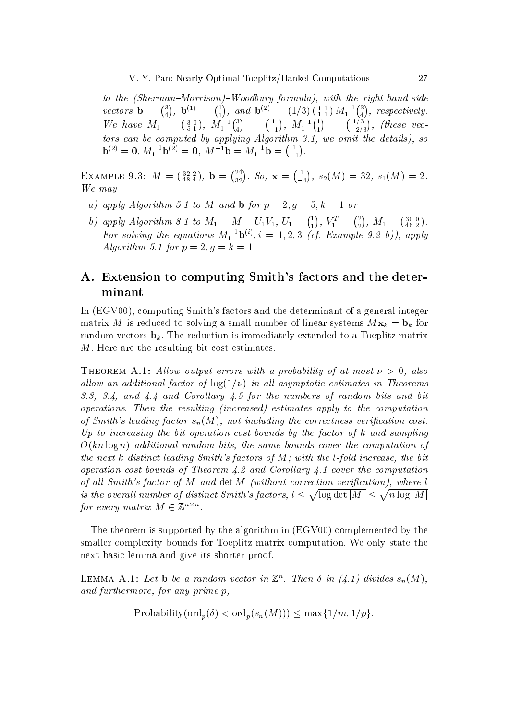to the (Sherman-Morrison)-Woodbury formula), with the right-hand-side vectors  $\mathbf{b} = \begin{pmatrix} 3 \\ 4 \end{pmatrix}$ ,  $\mathbf{b}^{(1)} = \begin{pmatrix} 1 \\ 1 \end{pmatrix}$ , and  $\mathbf{b}^{(2)} = (1/3)\begin{pmatrix} 1 & 1 \\ 1 & 1 \end{pmatrix}M_1^{-1}\begin{pmatrix} 3 \\ 4 \end{pmatrix}$ , respectively. We have  $M_1 = \begin{pmatrix} 3 & 0 \\ 5 & 1 \end{pmatrix}$ ,  $M_1^{-1} \begin{pmatrix} 3 \\ 4 \end{pmatrix} = \begin{pmatrix} 1 \\ -1 \end{pmatrix}$ ,  $M_1^{-1} \begin{pmatrix} 1 \\ 1 \end{pmatrix} = \begin{pmatrix} 1/3 \\ -2/3 \end{pmatrix}$ , (these vectors can be computed by applying Algorithm 3.1, we omit the details), so  $\mathbf{b}^{(2)} = \mathbf{0}, M_1^{-1} \mathbf{b}^{(2)} = \mathbf{0}, M^{-1} \mathbf{b} = M_1^{-1} \mathbf{b} = \begin{pmatrix} 1 \\ -1 \end{pmatrix}.$ 

EXAMPLE 9.3:  $M = \begin{pmatrix} 32 & 2 \ 48 & 4 \end{pmatrix}$ ,  $\mathbf{b} = \begin{pmatrix} 24 \ 32 \end{pmatrix}$ .  $So$ ,  $\mathbf{x} = \begin{pmatrix} 1 \ -4 \end{pmatrix}$ ,  $s_2(M) = 32$ ,  $s_1(M) = 2$ . We may

- a) apply Algorithm 5.1 to M and b for  $p = 2, g = 5, k = 1$  or
- b) apply Algorithm 8.1 to  $M_1 = M U_1V_1$ ,  $U_1 = \begin{pmatrix} 1 \\ 1 \end{pmatrix}$ ,  $V_1^T = \begin{pmatrix} 2 \\ 2 \end{pmatrix}$ ,  $M_1 = \begin{pmatrix} 30 & 0 \\ 46 & 2 \end{pmatrix}$ .<br>For solving the equations  $M_1^{-1}$ **b**<sup>(i)</sup>,  $i = 1, 2, 3$  (cf. Example 9.2 b)), apply Algorithm 5.1 for  $p = 2, g = k = 1$ .

# A. Extension to computing Smith's factors and the determinant

In (EGV00), computing Smith's factors and the determinant of a general integer matrix M is reduced to solving a small number of linear systems  $Mx_k = b_k$  for random vectors  $\mathbf{b}_k$ . The reduction is immediately extended to a Toeplitz matrix M. Here are the resulting bit cost estimates.

**THEOREM** A.1: Allow output errors with a probability of at most  $\nu > 0$ , also allow an additional factor of  $log(1/\nu)$  in all asymptotic estimates in Theorems 3.3, 3.4, and  $4.4$  and Corollary  $4.5$  for the numbers of random bits and bit operations. Then the resulting (increased) estimates apply to the computation of Smith's leading factor  $s_n(M)$ , not including the correctness verification cost. Up to increasing the bit operation cost bounds by the factor of  $k$  and sampling  $O(kn \log n)$  additional random bits, the same bounds cover the computation of the next k distinct leading Smith's factors of  $M$ ; with the l-fold increase, the bit operation cost bounds of Theorem 4.2 and Corollary 4.1 cover the computation of all Smith's factor of  $M$  and  $\det M$  (without correction verification), where  $l$ is the overall number of distinct Smith's factors,  $l \leq \sqrt{\log \det |M|} \leq \sqrt{n \log |M|}$ for every matrix  $M \in \mathbb{Z}^{n \times n}$ .

The theorem is supported by the algorithm in (EGV00) complemented by the smaller complexity bounds for Toeplitz matrix computation. We only state the next basic lemma and give its shorter proof.

LEMMA A.1: Let **b** be a random vector in  $\mathbb{Z}^n$ . Then  $\delta$  in (4.1) divides  $s_n(M)$ , and furthermore, for any prime p,

Probability  $(\text{ord}_n(\delta) < \text{ord}_n(s_n(M))) \leq \max\{1/m, 1/p\}.$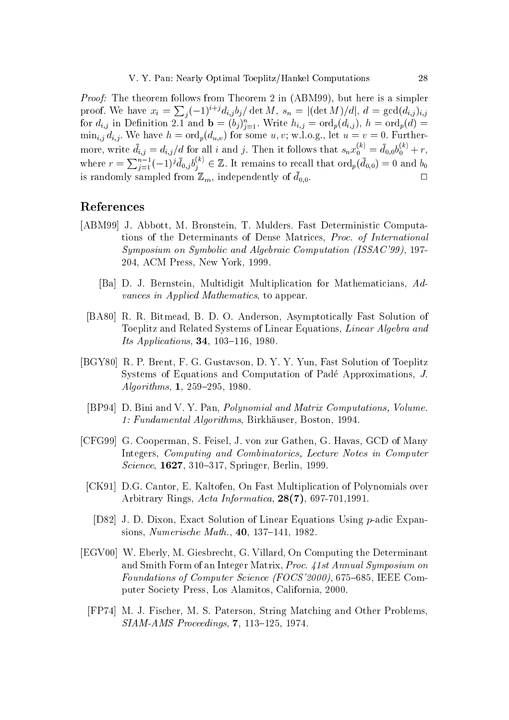*Proof:* The theorem follows from Theorem 2 in (ABM99), but here is a simpler proof. We have  $x_i = \sum_j (-1)^{i+j} d_{i,j} b_j / \det M$ ,  $s_n = |(\det M)/d|$ ,  $d = \gcd(d_{i,j})_{i,j}$ <br>for  $d_{i,j}$  in Definition 2.1 and  $\mathbf{b} = (b_j)_{j=1}^n$ . Write  $h_{i,j} = \text{ord}_p(d_{i,j})$ ,  $h = \text{ord}_p(d) = \min_{i,j} d_{i,j}$ . We have  $h = \text{ord}_p(d_{u,v})$  for some  $u, v$ ; more, write  $\bar{d}_{i,j} = d_{i,j}/d$  for all *i* and *j*. Then it follows that  $s_n x_0^{(k)} = \bar{d}_{0,0} b_0^{(k)} + r$ ,<br>where  $r = \sum_{j=1}^{n-1} (-1)^j \bar{d}_{0,j} b_j^{(k)} \in \mathbb{Z}$ . It remains to recall that  $\text{ord}_p(\bar{d}_{0,0}) = 0$  and  $b_0$ is randomly sampled from  $\mathbb{Z}_m$ , independently of  $\bar{d}_{0,0}$ .  $\Box$ 

## References

- [ABM99] J. Abbott, M. Bronstein, T. Mulders. Fast Deterministic Computations of the Determinants of Dense Matrices, Proc. of International Symposium on Symbolic and Algebraic Computation (ISSAC'99), 197-204, ACM Press, New York, 1999.
	- [Ba] D. J. Bernstein, Multidigit Multiplication for Mathematicians, Advances in Applied Mathematics, to appear.
	- [BA80] R. R. Bitmead, B. D. O. Anderson, Asymptotically Fast Solution of Toeplitz and Related Systems of Linear Equations, Linear Algebra and *Its Applications*, **34**, 103-116, 1980.
- [BGY80] R. P. Brent, F. G. Gustavson, D. Y. Y. Yun, Fast Solution of Toeplitz Systems of Equations and Computation of Padé Approximations, J. Algorithms, 1, 259-295, 1980.
- [BP94] D. Bini and V. Y. Pan, *Polynomial and Matrix Computations, Volume.* 1: Fundamental Algorithms, Birkhäuser, Boston, 1994.
- [CFG99] G. Cooperman, S. Feisel, J. von zur Gathen, G. Havas, GCD of Many Integers, Computing and Combinatorics, Lecture Notes in Computer *Science*, 1627, 310-317, Springer, Berlin, 1999.
- [CK91] D.G. Cantor, E. Kaltofen, On Fast Multiplication of Polynomials over Arbitrary Rings, Acta Informatica, 28(7), 697-701, 1991.
	- [D82] J. D. Dixon, Exact Solution of Linear Equations Using p-adic Expansions, *Numerische Math.*, 40, 137–141, 1982.
- [EGV00] W. Eberly, M. Giesbrecht, G. Villard, On Computing the Determinant and Smith Form of an Integer Matrix, Proc. 41st Annual Symposium on Foundations of Computer Science (FOCS'2000), 675-685, IEEE Computer Society Press, Los Alamitos, California, 2000.
	- [FP74] M. J. Fischer, M. S. Paterson, String Matching and Other Problems, SIAM-AMS Proceedings, 7, 113-125, 1974.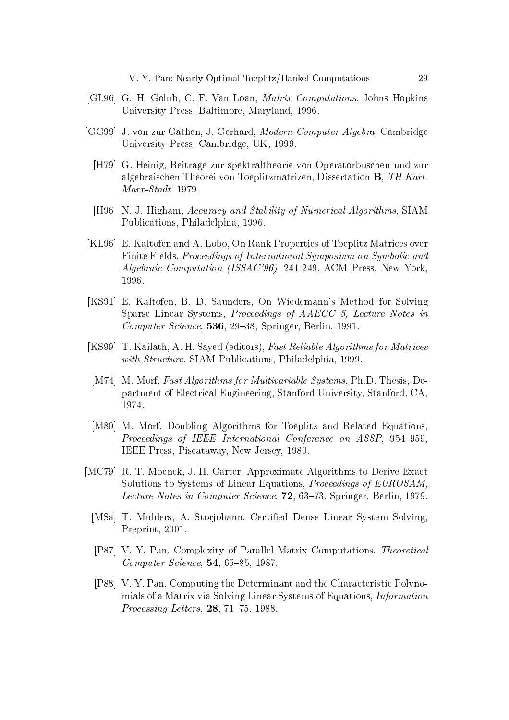- [GL96] G. H. Golub, C. F. Van Loan, *Matrix Computations*, Johns Hopkins University Press, Baltimore, Maryland, 1996.
- [GG99] J. von zur Gathen, J. Gerhard, *Modern Computer Algebra*, Cambridge University Press, Cambridge, UK, 1999.
	- [H79] G. Heinig, Beitrage zur spektraltheorie von Operatorbuschen und zur algebraischen Theorei von Toeplitzmatrizen, Dissertation B, TH Karl- $Marx-Stadt, 1979.$
	- [H96] N. J. Higham, Accuracy and Stability of Numerical Algorithms, SIAM Publications, Philadelphia, 1996.
- [KL96] E. Kaltofen and A. Lobo, On Rank Properties of Toeplitz Matrices over Finite Fields, *Proceedings of International Symposium on Symbolic and Algebraic Computation (ISSAC'96)*, 241-249, ACM Press, New York. 1996.
- [KS91] E. Kaltofen, B. D. Saunders, On Wiedemann's Method for Solving Sparse Linear Systems, Proceedings of AAECC-5, Lecture Notes in *Computer Science*, 536, 29–38, Springer, Berlin, 1991.
- [KS99] T. Kailath, A. H. Sayed (editors), Fast Reliable Algorithms for Matrices with Structure, SIAM Publications, Philadelphia, 1999.
- [M74] M. Morf, Fast Algorithms for Multivariable Systems, Ph.D. Thesis, Department of Electrical Engineering, Stanford University, Stanford, CA. 1974.
- [M80] M. Morf, Doubling Algorithms for Toeplitz and Related Equations, Proceedings of IEEE International Conference on ASSP, 954-959. IEEE Press, Piscataway, New Jersey, 1980.
- [MC79] R. T. Moenck, J. H. Carter, Approximate Algorithms to Derive Exact Solutions to Systems of Linear Equations, Proceedings of EUROSAM. *Lecture Notes in Computer Science*, **72**, 63–73, Springer, Berlin, 1979.
	- [MSa] T. Mulders, A. Storjohann, Certified Dense Linear System Solving. Preprint, 2001.
	- [P87] V. Y. Pan, Complexity of Parallel Matrix Computations, Theoretical  $Computer\, Science, 54, 65-85, 1987.$
	- [P88] V.Y. Pan, Computing the Determinant and the Characteristic Polynomials of a Matrix via Solving Linear Systems of Equations, *Information Processing Letters*,  $28, 71-75, 1988$ .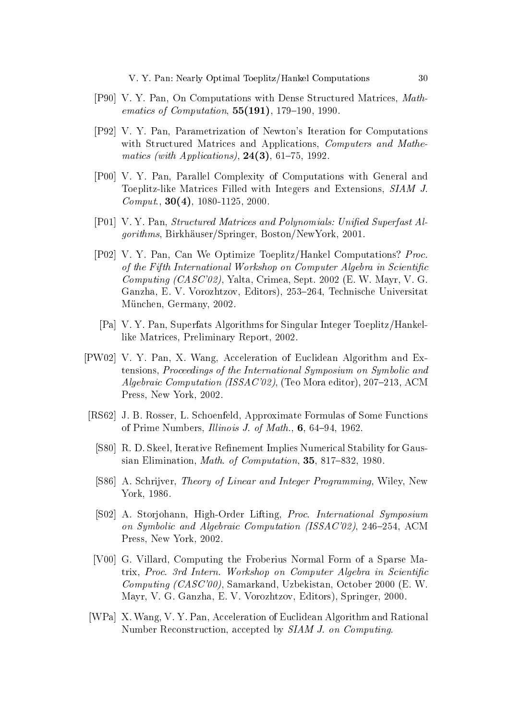- [P90] V. Y. Pan, On Computations with Dense Structured Matrices, Math*ematics of Computation*,  $55(191)$ , 179-190, 1990.
- [P92] V. Y. Pan, Parametrization of Newton's Iteration for Computations with Structured Matrices and Applications, Computers and Mathe*matics (with Applications)*,  $24(3)$ , 61-75, 1992.
- [P00] V. Y. Pan, Parallel Complexity of Computations with General and Toeplitz-like Matrices Filled with Integers and Extensions, SIAM J. *Comput.*, **30(4)**, 1080-1125, 2000.
- [P01] V.Y. Pan, *Structured Matrices and Polynomials: Unified Superfast Al*gorithms, Birkhäuser/Springer, Boston/NewYork, 2001.
- [P02] V. Y. Pan, Can We Optimize Toeplitz/Hankel Computations? Proc. of the Fifth International Workshop on Computer Algebra in Scientific *Computing (CASC'02)*, Yalta, Crimea, Sept. 2002 (E. W. Mayr, V. G. Ganzha, E. V. Vorozhtzov, Editors), 253-264, Technische Universitat München, Germany, 2002.
- [Pa] V. Y. Pan, Superfats Algorithms for Singular Integer Toeplitz/Hankellike Matrices, Preliminary Report, 2002.
- [PW02] V. Y. Pan, X. Wang, Acceleration of Euclidean Algorithm and Extensions, Proceedings of the International Symposium on Symbolic and *Algebraic Computation (ISSAC'02)*, (Teo Mora editor), 207-213, ACM Press, New York, 2002.
- [RS62] J. B. Rosser, L. Schoenfeld, Approximate Formulas of Some Functions of Prime Numbers, *Illinois J. of Math.*, 6, 64-94, 1962.
	- [S80] R.D. Skeel, Iterative Refinement Implies Numerical Stability for Gaussian Elimination, Math. of Computation, 35, 817-832, 1980.
	- [S86] A. Schrijver, *Theory of Linear and Integer Programming*, Wiley, New York, 1986.
	- [S02] A. Storjohann, High-Order Lifting, Proc. International Symposium on Symbolic and Algebraic Computation (ISSAC'02), 246-254, ACM Press, New York, 2002
	- [V00] G. Villard, Computing the Froberius Normal Form of a Sparse Matrix, Proc. 3rd Intern. Workshop on Computer Algebra in Scientific *Computing (CASC'00)*, Samarkand, Uzbekistan, October 2000 (E. W. Mayr, V. G. Ganzha, E. V. Vorozhtzov, Editors), Springer, 2000.
- [WPa] X. Wang, V. Y. Pan, Acceleration of Euclidean Algorithm and Rational Number Reconstruction, accepted by SIAM J. on Computing.